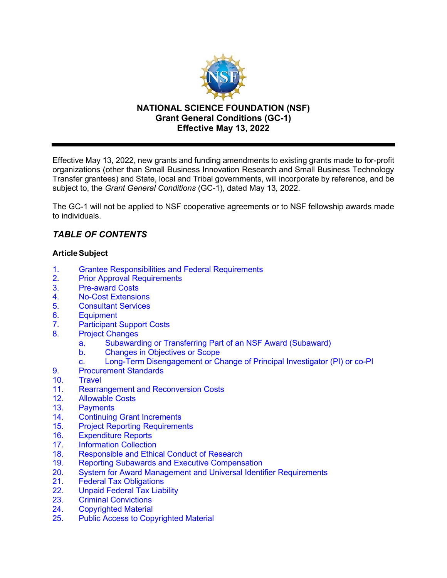

Effective May 13, 2022, new grants and funding amendments to existing grants made to for-profit organizations (other than Small Business Innovation Research and Small Business Technology Transfer grantees) and State, local and Tribal governments, will incorporate by reference, and be subject to, the *Grant General Conditions* (GC-1), dated May 13, 2022.

The GC-1 will not be applied to NSF cooperative agreements or to NSF fellowship awards made to individuals.

# *TABLE OF CONTENTS*

## **ArticleSubject**

- 1. [Grantee Responsibilities and Federal Requirements](#page-1-0)
- 2. [Prior Approval Requirements](#page-3-0)
- 3. [Pre-award Costs](#page-3-1)
- 4. [No-Cost Extensions](#page-3-2)<br>5. Consultant Services
- 5. [Consultant Services](#page-4-0)
- 6. Equipment
- 7. [Participant Support Costs](#page-6-0)
- 8. [Project Changes](#page-7-0)
	- a. [Subawarding or Transferring Part of an NSF Award](#page-7-1) (Subaward)
	- b. [Changes in Objectives or Scope](#page-8-0)
	- c. Long-Term Disengagement [or Change of Principal Investigator](#page-8-1) (PI) or co-PI
- 9. [Procurement Standards](#page-8-2)
- 10. [Travel](#page-8-3)
- 11. [Rearrangement and Reconversion Costs](#page-11-0)
- 12. [Allowable Costs](#page-11-1)
- 13. [Payments](#page-12-0)
- 14. Continuing Grant Increments
- 15. [Project Reporting Requirements](#page-12-1)
- 16. [Expenditure Reports](#page-14-0)
- 17. [Information Collection](#page-14-1)
- 18. Responsible and Ethical [Conduct of Research](#page-14-2)
- 19. [Reporting Subawards and Executive Compensation](#page-15-0)
- 20. System for Award Management [and Universal Identifier Requirements](#page-18-0)<br>21. Federal Tax Obligations
- **Federal Tax Obligations**
- [22. Unpaid Federal Tax Liability](#page-19-1)
- [23. Criminal Convictions](#page-19-1)
- 24. [Copyrighted Material](#page-19-0)
- [25. Public Access to Copyrighted Material](#page-20-0)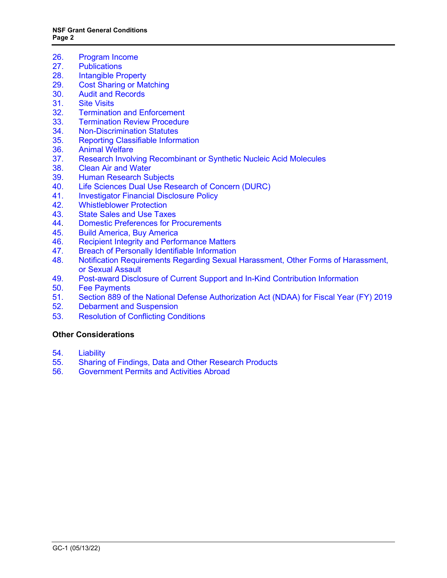- 26. [Program Income](#page-21-0)
- 27. [Publications](#page-22-0)
- 28. [Intangible Property](#page-23-0)<br>29. Cost Sharing or Ma
- **[Cost Sharing or Matching](#page-28-0)**
- 30. [Audit and Records](#page-29-0)
- 31. [Site Visits](#page-29-1)<br>32. Terminatio
- **[Termination and Enforcement](#page-30-1)**
- 33. [Termination Review Procedure](#page-30-0)
- 34. [Non-Discrimination](#page-31-0) Statutes<br>35. Reporting Classifiable Inform
- 35. [Reporting Classifiable Information](#page-31-1)<br>36. Animal Welfare
- **[Animal Welfare](#page-31-2)**
- 37. [Research Involving Recombinant or Synthetic Nucleic Acid Molecules](#page-32-0)
- 38. [Clean Air and Water](#page-32-1)<br>39. Human Research Su
- **[Human Research Subjects](#page-33-0)**
- 40. [Life Sciences Dual Use Research of Concern \(DURC\)](#page-33-3)
- 41. [Investigator Financial Disclosure Policy](#page-33-1)<br>42. Whistleblower Protection
- 42. [Whistleblower Protection](#page-33-2)<br>43. State Sales and Use Taxe
- [State Sales and Use Taxes](#page-33-2)
- 44. [Domestic Preferences for Procurements](#page-33-3)
- 45. [Build America, Buy America](#page-34-1)
- 46. [Recipient Integrity and Performance Matters](#page-34-1)
- 47. [Breach of Personally Identifiable Information](#page-34-1)
- 48. [Notification Requirements Regarding Sexual Harassment, Other Forms of Harassment,](#page-34-1)  or Sexual Assault
- 49. [Post-award Disclosure of Current Support and In-Kind Contribution Information](#page-36-0)
- 50. [Fee Payments](#page-38-0)
- 51. [Section 889 of the National Defense Authorization Act \(NDAA\) for Fiscal Year \(FY\) 2019](#page-38-0)
- 52. [Debarment and Suspension](#page-34-0)
- 53. [Resolution of Conflicting Conditions](#page-39-0)

# **[Other Considerations](#page-40-0)**

- 54. [Liability](#page-40-1)<br>55. Sharing
- 55. [Sharing of Findings, Data and Other Research Products](#page-40-2)
- <span id="page-1-0"></span>56. [Government Permits and Activities Abroad](#page-40-3)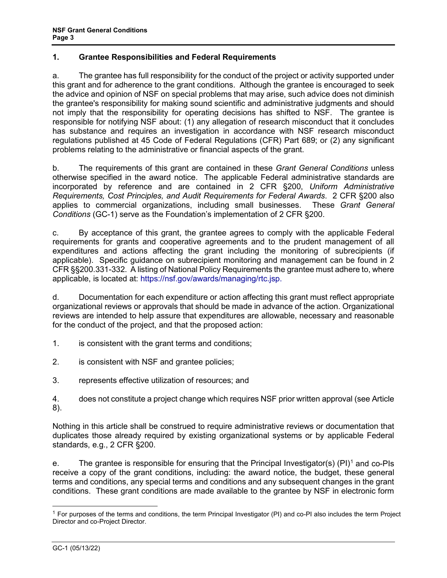# **1. Grantee Responsibilities and Federal Requirements**

a. The grantee has full responsibility for the conduct of the project or activity supported under this grant and for adherence to the grant conditions. Although the grantee is encouraged to seek the advice and opinion of NSF on special problems that may arise, such advice does not diminish the grantee's responsibility for making sound scientific and administrative judgments and should not imply that the responsibility for operating decisions has shifted to NSF. The grantee is responsible for notifying NSF about: (1) any allegation of research misconduct that it concludes has substance and requires an investigation in accordance with NSF research misconduct regulations published at [45 Code of Federal Regulations \(CFR\) Part 689;](http://www.access.gpo.gov/nara/cfr/waisidx_06/45cfr689_06.html) or (2) any significant problems relating to the administrative or financial aspects of the grant.

b. The requirements of this grant are contained in these *Grant General Conditions* unless otherwise specified in the award notice. The applicable Federal administrative standards are incorporated by reference and are contained in [2 CFR §200,](http://www.ecfr.gov/cgi-bin/text-idx?SID=704835d27377ef5213a51c149de40cab&node=2:1.1.2.2.1&rgn=div5) *Uniform Administrative Requirements, Cost Principles, and Audit Requirements for Federal Awards*. 2 CFR §200 also applies to commercial organizations, including small businesses. These *Grant General Conditions* (GC-1) serve as the Foundation's implementation of 2 CFR §200.

c. By acceptance of this grant, the grantee agrees to comply with the applicable Federal requirements for grants and cooperative agreements and to the prudent management of all expenditures and actions affecting the grant including the monitoring of subrecipients (if applicable). Specific guidance on subrecipient monitoring and management can be found in 2 CFR §§200.331-332. A listing of National Policy Requirements the grantee must adhere to, where applicable, is located at: https://nsf.gov/awards/managing/rtc.jsp.

d. Documentation for each expenditure or action affecting this grant must reflect appropriate organizational reviews or approvals that should be made in advance of the action. Organizational reviews are intended to help assure that expenditures are allowable, necessary and reasonable for the conduct of the project, and that the proposed action:

1. is consistent with the grant terms and conditions;

- 2. is consistent with NSF and grantee policies;
- 3. represents effective utilization of resources; and

4. does not constitute a project change which requires NSF prior written approval (se[e Article](#page-7-0)  [8\)](#page-7-0).

Nothing in this article shall be construed to require administrative reviews or documentation that duplicates those already required by existing organizational systems or by applicable Federal standards, e.g., 2 CFR §200.

e. The grantee is responsible for ensuring that the Principal Investigator(s) (PI)<sup>[1](#page-2-0)</sup> and co-PIs receive a copy of the grant conditions, including: the award notice, the budget, these general terms and conditions, any special terms and conditions and any subsequent changes in the grant conditions. These grant conditions are made available to the grantee by NSF in electronic form

<span id="page-2-0"></span><sup>1</sup> For purposes of the terms and conditions, the term Principal Investigator (PI) and co-PI also includes the term Project Director and co-Project Director.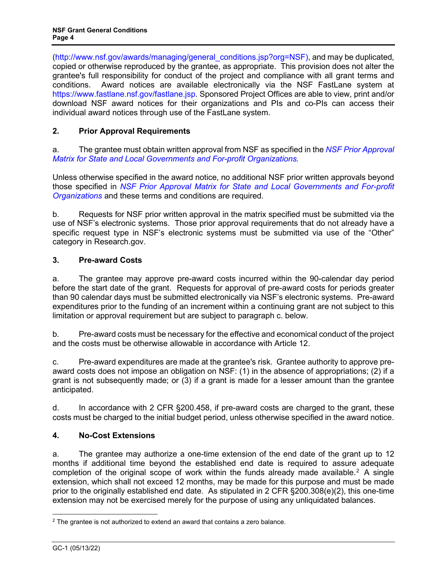[\(http://www.nsf.gov/awards/managing/general\\_conditions.jsp?org=NSF\)](http://www.nsf.gov/awards/managing/general_conditions.jsp?org=NSF), and may be duplicated, copied or otherwise reproduced by the grantee, as appropriate. This provision does not alter the grantee's full responsibility for conduct of the project and compliance with all grant terms and conditions. Award notices are available electronically via the NSF FastLane system at [https://www.fastlane.nsf.gov/fastlane.jsp.](https://www.fastlane.nsf.gov/fastlane.jsp) Sponsored Project Offices are able to view, print and/or download NSF award notices for their organizations and PIs and co-PIs can access their individual award notices through use of the FastLane system.

# <span id="page-3-0"></span>**2. Prior Approval Requirements**

a. The grantee must obtain written approval from NSF as specified in the *[NSF Prior Approval](https://www.nsf.gov/bfa/dias/policy/priorapprovals/march18.pdf)  [Matrix for State and Local Governments and For-profit Organizations.](https://www.nsf.gov/bfa/dias/policy/priorapprovals/march18.pdf)*

Unless otherwise specified in the award notice, no additional NSF prior written approvals beyond those specified in *[NSF Prior Approval Matrix for State and Local Governments and For-profit](https://www.nsf.gov/bfa/dias/policy/priorapprovals/march18.pdf)  [Organizations](https://www.nsf.gov/bfa/dias/policy/priorapprovals/march18.pdf)* and these terms and conditions are required.

b. Requests for NSF prior written approval in the matrix specified must be submitted via the use of NSF's electronic systems. Those prior approval requirements that do not already have a specific request type in NSF's electronic systems must be submitted via use of the "Other" category in Research.gov.

# <span id="page-3-1"></span>**3. Pre-award Costs**

a. The grantee may approve pre-award costs incurred within the 90-calendar day period before the start date of the grant. Requests for approval of pre-award costs for periods greater than 90 calendar days must be submitted electronically via NSF's electronic systems. Pre-award expenditures prior to the funding of an increment within a continuing grant are not subject to this limitation or approval requirement but are subject to paragraph c. below.

b. Pre-award costs must be necessary for the effective and economical conduct of the project and the costs must be otherwise allowable in accordance with [Article 12.](#page-11-1)

c. Pre-award expenditures are made at the grantee's risk. Grantee authority to approve preaward costs does not impose an obligation on NSF: (1) in the absence of appropriations; (2) if a grant is not subsequently made; or (3) if a grant is made for a lesser amount than the grantee anticipated.

d. In accordance with 2 CFR §200.458, if pre-award costs are charged to the grant, these costs must be charged to the initial budget period, unless otherwise specified in the award notice.

## <span id="page-3-2"></span>**4. No-Cost Extensions**

a. The grantee may authorize a one-time extension of the end date of the grant up to 12 months if additional time beyond the established end date is required to assure adequate completion of the original scope of work within the funds already made available.<sup>[2](#page-3-3)</sup> A single extension, which shall not exceed 12 months, may be made for this purpose and must be made prior to the originally established end date. As stipulated in 2 CFR §200.308(e)(2), this one-time extension may not be exercised merely for the purpose of using any unliquidated balances.

<span id="page-3-3"></span> $2$  The grantee is not authorized to extend an award that contains a zero balance.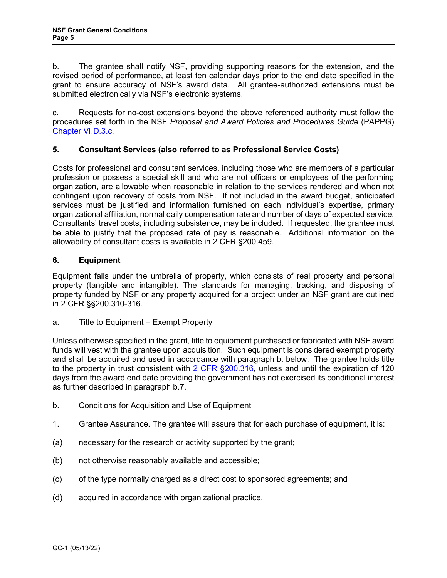b. The grantee shall notify NSF, providing supporting reasons for the extension, and the revised period of performance, at least ten calendar days prior to the end date specified in the grant to ensure accuracy of NSF's award data. All grantee-authorized extensions must be submitted electronically via NSF's electronic systems.

c. Requests for no-cost extensions beyond the above referenced authority must follow the procedures set forth in the NSF *Proposal and Award Policies and Procedures Guide* (PAPPG[\)](https://www.nsf.gov/pubs/policydocs/pappg22_1/pappg_6.jsp#VID3c) [Chapter VI.D.3.c.](https://www.nsf.gov/pubs/policydocs/pappg22_1/pappg_6.jsp#VID3c)

# <span id="page-4-0"></span>**5. Consultant Services (also referred to as Professional Service Costs)**

Costs for professional and consultant services, including those who are members of a particular profession or possess a special skill and who are not officers or employees of the performing organization, are allowable when reasonable in relation to the services rendered and when not contingent upon recovery of costs from NSF. If not included in the award budget, anticipated services must be justified and information furnished on each individual's expertise, primary organizational affiliation, normal daily compensation rate and number of days of expected service. Consultants' travel costs, including subsistence, may be included. If requested, the grantee must be able to justify that the proposed rate of pay is reasonable. Additional information on the allowability of consultant costs is available in 2 CFR §200.459.

## **6. Equipment**

Equipment falls under the umbrella of property, which consists of real property and personal property (tangible and intangible). The standards for managing, tracking, and disposing of property funded by NSF or any property acquired for a project under an NSF grant are outlined in 2 CFR §§200.310-316.

a. Title to Equipment – Exempt Property

Unless otherwise specified in the grant, title to equipment purchased or fabricated with NSF award funds will vest with the grantee upon acquisition. Such equipment is considered exempt property and shall be acquired and used in accordance with paragraph b. below. The grantee holds title to the property in trust consistent with [2 CFR §200.316,](http://a257.g.akamaitech.net/7/257/2422/15mar20071500/edocket.access.gpo.gov/cfr_2007/janqtr/pdf/2cfr215.34.pdf) unless and until the expiration of 120 days from the award end date providing the government has not exercised its conditional interest as further described in paragraph b.7.

- b. Conditions for Acquisition and Use of Equipment
- 1. Grantee Assurance. The grantee will assure that for each purchase of equipment, it is:
- (a) necessary for the research or activity supported by the grant;
- (b) not otherwise reasonably available and accessible;
- (c) of the type normally charged as a direct cost to sponsored agreements; and
- (d) acquired in accordance with organizational practice.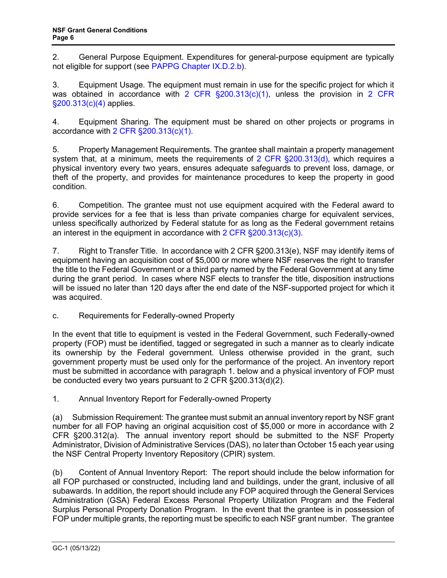2. General Purpose Equipment. Expenditures for general-purpose equipment are typically not eligible for support (see [PAPPG Chapter IX.D.2.b\)](https://www.nsf.gov/pubs/policydocs/pappg22_1/pappg_9.jsp#IXD2).

3. Equipment Usage. The equipment must remain in use for the specific project for which it was obtained in accordance with [2 CFR §200.313\(c\)\(1\),](http://a257.g.akamaitech.net/7/257/2422/15mar20071500/edocket.access.gpo.gov/cfr_2007/janqtr/pdf/2cfr215.34.pdf) unless the provision in 2 CFR [§200.313\(c\)\(4\)](http://a257.g.akamaitech.net/7/257/2422/15mar20071500/edocket.access.gpo.gov/cfr_2007/janqtr/pdf/2cfr215.34.pdf) applies.

4. Equipment Sharing. The equipment must be shared on other projects or programs in accordance with [2 CFR §200.313\(c\)\(1\).](http://a257.g.akamaitech.net/7/257/2422/15mar20071500/edocket.access.gpo.gov/cfr_2007/janqtr/pdf/2cfr215.34.pdf)

5. Property Management Requirements. The grantee shall maintain a property management system that, at a minimum, meets the requirements of  $2$  CFR  $\S200.313(d)$ , which requires a physical inventory every two years, ensures adequate safeguards to prevent loss, damage, or theft of the property, and provides for maintenance procedures to keep the property in good condition.

6. Competition. The grantee must not use equipment acquired with the Federal award to provide services for a fee that is less than private companies charge for equivalent services, unless specifically authorized by Federal statute for as long as the Federal government retains an interest in the equipment in accordance with [2 CFR §200.313\(c\)\(3\).](http://a257.g.akamaitech.net/7/257/2422/15mar20071500/edocket.access.gpo.gov/cfr_2007/janqtr/pdf/2cfr215.34.pdf)

7. Right to Transfer Title. In accordance with 2 CFR §200.313(e), NSF may identify items of equipment having an acquisition cost of \$5,000 or more where NSF reserves the right to transfer the title to the Federal Government or a third party named by the Federal Government at any time during the grant period. In cases where NSF elects to transfer the title, disposition instructions will be issued no later than 120 days after the end date of the NSF-supported project for which it was acquired.

c. Requirements for Federally-owned Property

In the event that title to equipment is vested in the Federal Government, such Federally-owned property (FOP) must be identified, tagged or segregated in such a manner as to clearly indicate its ownership by the Federal government. Unless otherwise provided in the grant, such government property must be used only for the performance of the project. An inventory report must be submitted in accordance with paragraph 1. below and a physical inventory of FOP must be conducted every two years pursuant to 2 CFR §200.313(d)(2).

1. Annual Inventory Report for Federally-owned Property

(a) Submission Requirement: The grantee must submit an annual inventory report by NSF grant number for all FOP having an original acquisition cost of \$5,000 or more in accordance with 2 CFR §200.312(a). The annual inventory report should be submitted to the NSF Property Administrator, Division of Administrative Services (DAS), no later than October 15 each year using the NSF Central Property Inventory Repository (CPIR) system.

(b) Content of Annual Inventory Report: The report should include the below information for all FOP purchased or constructed, including land and buildings, under the grant, inclusive of all subawards. In addition, the report should include any FOP acquired through the General Services Administration (GSA) Federal Excess Personal Property Utilization Program and the Federal Surplus Personal Property Donation Program. In the event that the grantee is in possession of FOP under multiple grants, the reporting must be specific to each NSF grant number. The grantee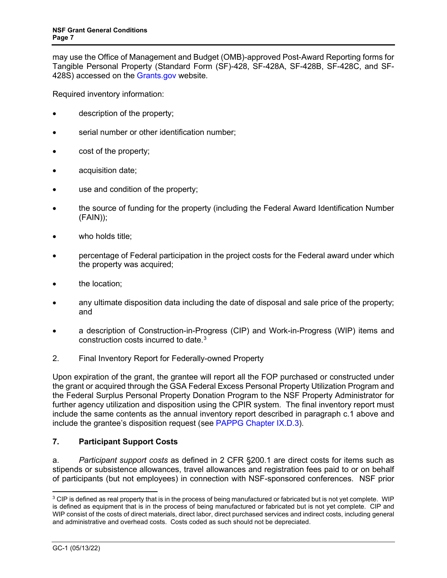may use the Office of Management and Budget (OMB)-approved Post-Award Reporting forms for Tangible Personal Property (Standard Form (SF)-428, SF-428A, SF-428B, SF-428C, and SF-428S) accessed on the [Grants.gov](https://www.grants.gov/web/grants/forms/post-award-reporting-forms.html) website.

Required inventory information:

- description of the property;
- serial number or other identification number;
- cost of the property;
- acquisition date;
- use and condition of the property;
- the source of funding for the property (including the Federal Award Identification Number (FAIN));
- who holds title;
- percentage of Federal participation in the project costs for the Federal award under which the property was acquired;
- the location:
- any ultimate disposition data including the date of disposal and sale price of the property; and
- a description of Construction-in-Progress (CIP) and Work-in-Progress (WIP) items and construction costs incurred to date.[3](#page-6-1)
- 2. Final Inventory Report for Federally-owned Property

Upon expiration of the grant, the grantee will report all the FOP purchased or constructed under the grant or acquired through the GSA Federal Excess Personal Property Utilization Program and the Federal Surplus Personal Property Donation Program to the NSF Property Administrator for further agency utilization and disposition using the CPIR system. The final inventory report must include the same contents as the annual inventory report described in paragraph c.1 above and include the grantee's disposition request (see [PAPPG Chapter IX.D.3\)](https://www.nsf.gov/pubs/policydocs/pappg22_1/pappg_9.jsp#IXD3).

# <span id="page-6-0"></span>**7. Participant Support Costs**

a. *Participant support costs* as defined in 2 CFR §200.1 are direct costs for items such as stipends or subsistence allowances, travel allowances and registration fees paid to or on behalf of participants (but not employees) in connection with NSF-sponsored conferences. NSF prior

<span id="page-6-1"></span><sup>&</sup>lt;sup>3</sup> CIP is defined as real property that is in the process of being manufactured or fabricated but is not vet complete. WIP is defined as equipment that is in the process of being manufactured or fabricated but is not yet complete. CIP and WIP consist of the costs of direct materials, direct labor, direct purchased services and indirect costs, including general and administrative and overhead costs. Costs coded as such should not be depreciated.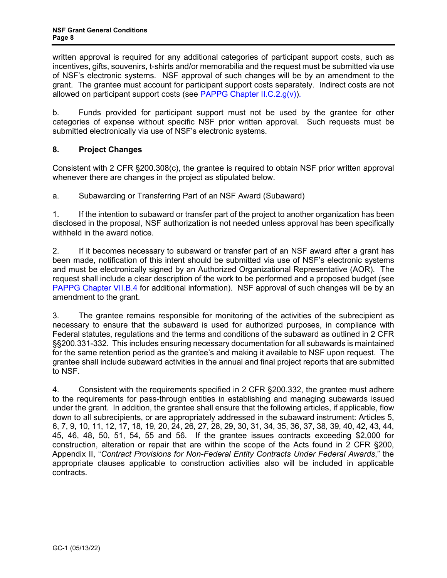written approval is required for any additional categories of participant support costs, such as incentives, gifts, souvenirs, t-shirts and/or memorabilia and the request must be submitted via use of NSF's electronic systems. NSF approval of such changes will be by an amendment to the grant. The grantee must account for participant support costs separately. Indirect costs are not allowed on participant support costs (see [PAPPG Chapter II.C.2.g\(v\)\).](https://www.nsf.gov/pubs/policydocs/pappg22_1/pappg_2.jsp#IIC2gv)

b. Funds provided for participant support must not be used by the grantee for other categories of expense without specific NSF prior written approval. Such requests must be submitted electronically via use of NSF's electronic systems.

# <span id="page-7-0"></span>**8. Project Changes**

Consistent with 2 CFR §200.308(c), the grantee is required to obtain NSF prior written approval whenever there are changes in the project as stipulated below.

<span id="page-7-1"></span>a. Subawarding or Transferring Part of an NSF Award (Subaward)

1. If the intention to subaward or transfer part of the project to another organization has been disclosed in the proposal, NSF authorization is not needed unless approval has been specifically withheld in the award notice.

2. If it becomes necessary to subaward or transfer part of an NSF award after a grant has been made, notification of this intent should be submitted via use of NSF's electronic systems and must be electronically signed by an Authorized Organizational Representative (AOR). The request shall include a clear description of the work to be performed and a proposed budget (see [PAPPG Chapter VII.B.4](https://www.nsf.gov/pubs/policydocs/pappg22_1/pappg_7.jsp#VIIB4) for additional information). NSF approval of such changes will be by an amendment to the grant.

3. The grantee remains responsible for monitoring of the activities of the subrecipient as necessary to ensure that the subaward is used for authorized purposes, in compliance with Federal statutes, regulations and the terms and conditions of the subaward as outlined in 2 CFR §§200.331-332. This includes ensuring necessary documentation for all subawards is maintained for the same retention period as the grantee's and making it available to NSF upon request. The grantee shall include subaward activities in the annual and final project reports that are submitted to NSF.

4. Consistent with the requirements specified in 2 CFR §200.332, the grantee must adhere to the requirements for pass-through entities in establishing and managing subawards issued under the grant. In addition, the grantee shall ensure that the following articles, if applicable, flow down to all subrecipients, or are appropriately addressed in the subaward instrument: Articles 5, 6, 7, 9, 10, 11, 12, 17, 18, 19, 20, 24, 26, 27, 28, 29, 30, 31, 34, 35, 36, 37, 38, 39, 40, 42, 43, 44, 45, 46, 48, 50, 51, 54, 55 and 56. If the grantee issues contracts exceeding \$2,000 for construction, alteration or repair that are within the scope of the Acts found in 2 [CFR §200,](http://www.access.gpo.gov/nara/cfr/waisidx_07/2cfr215_07.html)  Appendix II, "*[Contract Provisions](http://www.access.gpo.gov/nara/cfr/waisidx_07/2cfr215_07.html) for Non-Federal Entity Contracts Under Federal Awards*," the appropriate clauses applicable to construction activities also will be included in applicable contracts.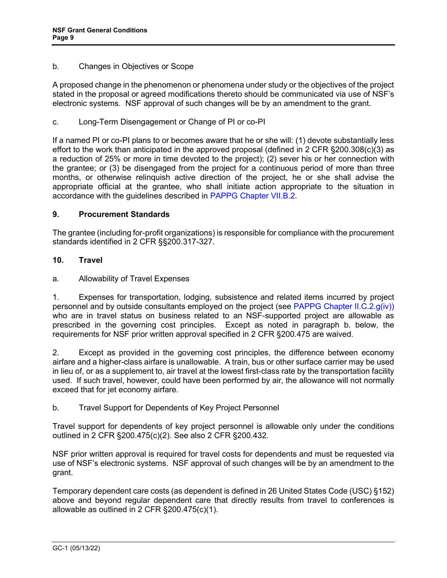#### <span id="page-8-0"></span>b. Changes in Objectives or Scope

A proposed change in the phenomenon or phenomena under study or the objectives of the project stated in the proposal or agreed modifications thereto should be communicated via use of NSF's electronic systems. NSF approval of such changes will be by an amendment to the grant.

<span id="page-8-1"></span>c. Long-Term Disengagement or Change of PI or co-PI

If a named PI or co-PI plans to or becomes aware that he or she will: (1) devote substantially less effort to the work than anticipated in the approved proposal (defined in 2 CFR §200.308(c)(3) as a reduction of 25% or more in time devoted to the project); (2) sever his or her connection with the grantee; or (3) be disengaged from the project for a continuous period of more than three months, or otherwise relinquish active direction of the project, he or she shall advise the appropriate official at the grantee, who shall initiate action appropriate to the situation in accordance with the guidelines described in [PAPPG Chapter VII.B.2.](https://www.nsf.gov/pubs/policydocs/pappg22_1/pappg_7.jsp#VIIB2)

#### <span id="page-8-2"></span>**9. Procurement Standards**

The grantee (including for-profit organizations) is responsible for compliance with the procurement standards identified in 2 CFR §§200.317-327.

#### <span id="page-8-3"></span>**10. Travel**

a. Allowability of Travel Expenses

1. Expenses for transportation, lodging, subsistence and related items incurred by project personnel and by outside consultants employed on the project (see [PAPPG Chapter II.C.2.g\(iv\)\)](https://www.nsf.gov/pubs/policydocs/pappg22_1/pappg_2.jsp#IIC2giv) who are in travel status on business related to an NSF-supported project are allowable as prescribed in the governing cost principles. Except as noted in paragraph b. below, the requirements for NSF prior written approval specified in 2 CFR §200.475 are waived.

2. Except as provided in the governing cost principles, the difference between economy airfare and a higher-class airfare is unallowable. A train, bus or other surface carrier may be used in lieu of, or as a supplement to, air travel at the lowest first-class rate by the transportation facility used. If such travel, however, could have been performed by air, the allowance will not normally exceed that for jet economy airfare.

## b. Travel Support for Dependents of Key Project Personnel

Travel support for dependents of key project personnel is allowable only under the conditions outlined in 2 CFR §200.475(c)(2). See also 2 CFR §200.432.

NSF prior written approval is required for travel costs for dependents and must be requested via use of NSF's electronic systems. NSF approval of such changes will be by an amendment to the grant.

Temporary dependent care costs (as dependent is defined in 26 United States Code (USC) §152) above and beyond regular dependent care that directly results from travel to conferences is allowable as outlined in 2 CFR §200.475(c)(1).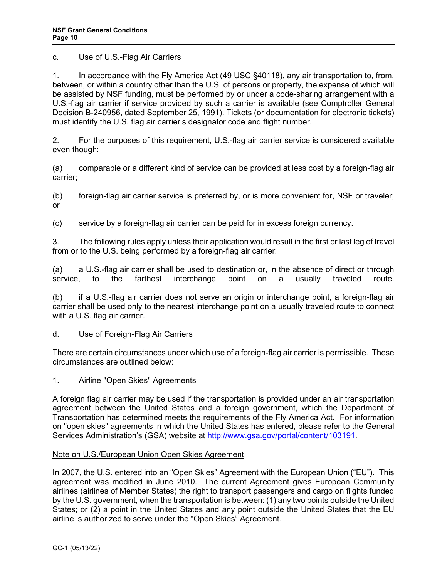c. Use of U.S.-Flag Air Carriers

1. In accordance with the Fly America Act (49 USC §40118), any air transportation to, from, between, or within a country other than the U.S. of persons or property, the expense of which will be assisted by NSF funding, must be performed by or under a code-sharing arrangement with a U.S.-flag air carrier if service provided by such a carrier is available (see Comptroller General Decision B-240956, dated September 25, 1991). Tickets (or documentation for electronic tickets) must identify the U.S. flag air carrier's designator code and flight number.

2. For the purposes of this requirement, U.S.-flag air carrier service is considered available even though:

(a) comparable or a different kind of service can be provided at less cost by a foreign-flag air carrier;

(b) foreign-flag air carrier service is preferred by, or is more convenient for, NSF or traveler; or

(c) service by a foreign-flag air carrier can be paid for in excess foreign currency.

3. The following rules apply unless their application would result in the first or last leg of travel from or to the U.S. being performed by a foreign-flag air carrier:

(a) a U.S.-flag air carrier shall be used to destination or, in the absence of direct or through interchange point on a usually traveled route.

(b) if a U.S.-flag air carrier does not serve an origin or interchange point, a foreign-flag air carrier shall be used only to the nearest interchange point on a usually traveled route to connect with a U.S. flag air carrier.

d. Use of Foreign-Flag Air Carriers

There are certain circumstances under which use of a foreign-flag air carrier is permissible. These circumstances are outlined below:

1. Airline "Open Skies" Agreements

A foreign flag air carrier may be used if the transportation is provided under an air transportation agreement between the United States and a foreign government, which the Department of Transportation has determined meets the requirements of the Fly America Act. For information on "open skies" agreements in which the United States has entered, please refer to the General Services Administration's (GSA) website at [http://www.gsa.gov/portal/content/103191.](http://www.gsa.gov/portal/content/103191)

#### Note on U.S./European Union Open Skies Agreement

In 2007, the U.S. entered into an "Open Skies" Agreement with the European Union ("EU"). This agreement was modified in June 2010. The current Agreement gives European Community airlines (airlines of Member States) the right to transport passengers and cargo on flights funded by the U.S. government, when the transportation is between: (1) any two points outside the United States; or (2) a point in the United States and any point outside the United States that the EU airline is authorized to serve under the "Open Skies" Agreement.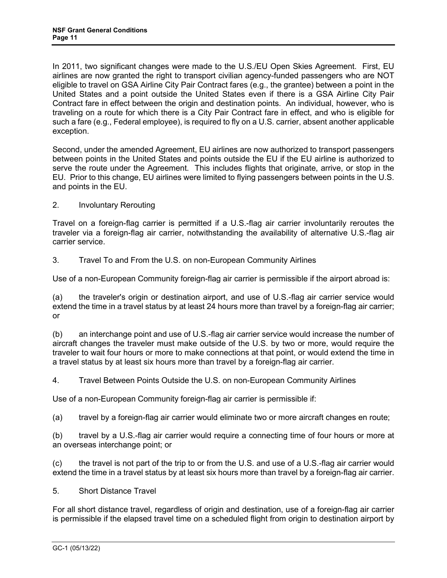In 2011, two significant changes were made to the U.S./EU Open Skies Agreement. First, EU airlines are now granted the right to transport civilian agency-funded passengers who are NOT eligible to travel on GSA Airline City Pair Contract fares (e.g., the grantee) between a point in the United States and a point outside the United States even if there is a GSA Airline City Pair Contract fare in effect between the origin and destination points. An individual, however, who is traveling on a route for which there is a City Pair Contract fare in effect, and who is eligible for such a fare (e.g., Federal employee), is required to fly on a U.S. carrier, absent another applicable exception.

Second, under the amended Agreement, EU airlines are now authorized to transport passengers between points in the United States and points outside the EU if the EU airline is authorized to serve the route under the Agreement. This includes flights that originate, arrive, or stop in the EU. Prior to this change, EU airlines were limited to flying passengers between points in the U.S. and points in the EU.

2. Involuntary Rerouting

Travel on a foreign-flag carrier is permitted if a U.S.-flag air carrier involuntarily reroutes the traveler via a foreign-flag air carrier, notwithstanding the availability of alternative U.S.-flag air carrier service.

3. Travel To and From the U.S. on non-European Community Airlines

Use of a non-European Community foreign-flag air carrier is permissible if the airport abroad is:

(a) the traveler's origin or destination airport, and use of U.S.-flag air carrier service would extend the time in a travel status by at least 24 hours more than travel by a foreign-flag air carrier; or

(b) an interchange point and use of U.S.-flag air carrier service would increase the number of aircraft changes the traveler must make outside of the U.S. by two or more, would require the traveler to wait four hours or more to make connections at that point, or would extend the time in a travel status by at least six hours more than travel by a foreign-flag air carrier.

4. Travel Between Points Outside the U.S. on non-European Community Airlines

Use of a non-European Community foreign-flag air carrier is permissible if:

(a) travel by a foreign-flag air carrier would eliminate two or more aircraft changes en route;

(b) travel by a U.S.-flag air carrier would require a connecting time of four hours or more at an overseas interchange point; or

(c) the travel is not part of the trip to or from the U.S. and use of a U.S.-flag air carrier would extend the time in a travel status by at least six hours more than travel by a foreign-flag air carrier.

#### 5. Short Distance Travel

For all short distance travel, regardless of origin and destination, use of a foreign-flag air carrier is permissible if the elapsed travel time on a scheduled flight from origin to destination airport by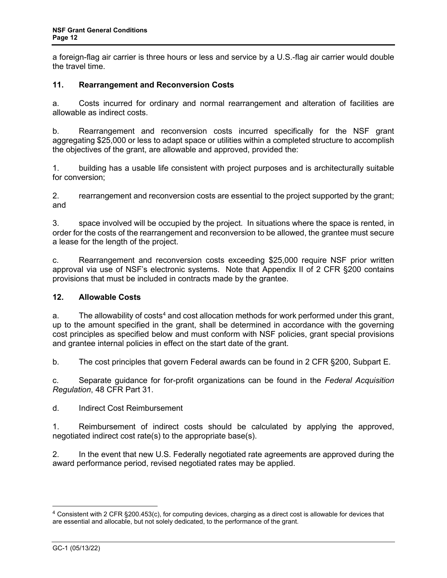a foreign-flag air carrier is three hours or less and service by a U.S.-flag air carrier would double the travel time.

## <span id="page-11-0"></span>**11. Rearrangement and Reconversion Costs**

a. Costs incurred for ordinary and normal rearrangement and alteration of facilities are allowable as indirect costs.

b. Rearrangement and reconversion costs incurred specifically for the NSF grant aggregating \$25,000 or less to adapt space or utilities within a completed structure to accomplish the objectives of the grant, are allowable and approved, provided the:

1. building has a usable life consistent with project purposes and is architecturally suitable for conversion;

2. rearrangement and reconversion costs are essential to the project supported by the grant; and

3. space involved will be occupied by the project. In situations where the space is rented, in order for the costs of the rearrangement and reconversion to be allowed, the grantee must secure a lease for the length of the project.

c. Rearrangement and reconversion costs exceeding \$25,000 require NSF prior written approval via use of NSF's electronic systems. Note that Appendix II of 2 CFR §200 contains provisions that must be included in contracts made by the grantee.

#### <span id="page-11-1"></span>**12. Allowable Costs**

a. The allowability of  $cost<sup>4</sup>$  and cost allocation methods for work performed under this grant, up to the amount specified in [th](#page-11-2)e grant, shall be determined in accordance with the governing cost principles as specified below and must conform with NSF policies, grant special provisions and grantee internal policies in effect on the start date of the grant.

<span id="page-11-3"></span>b. The cost principles that govern Federal awards can be found in 2 CFR §200, Subpart E.

c. Separate guidance for for-profit organizations can be found in the *Federal Acquisition Regulation*, 48 CFR Part 31.

d. Indirect Cost Reimbursement

1. Reimbursement of indirect costs should be calculated by applying the approved, negotiated indirect cost rate(s) to the appropriate base(s).

2. In the event that new U.S. Federally negotiated rate agreements are approved during the award performance period, revised negotiated rates may be applied.

<span id="page-11-2"></span><sup>4</sup> Consistent with 2 CFR §200.453(c), for computing devices, charging as a direct cost is allowable for devices that are essential and allocable, but not solely dedicated, to the performance of the grant.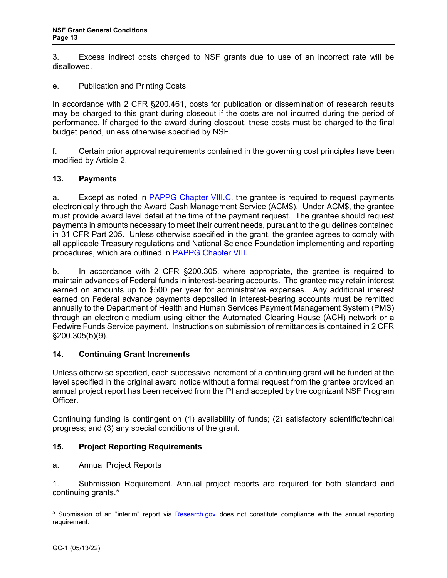3. Excess indirect costs charged to NSF grants due to use of an incorrect rate will be disallowed.

e. Publication and Printing Costs

In accordance with [2 CFR §200.4](http://www.access.gpo.gov/nara/cfr/waisidx_06/31cfr205_06.html)61, costs for publication or dissemination of research results may be charged to this grant during closeout if the costs are not incurred during the period of performance. If charged to the award during closeout, these costs must be charged to the final budget period, unless otherwise specified by NSF.

f. Certain prior approval requirements contained in the governing cost principles have been modified by [Article 2.](#page-3-0)

#### <span id="page-12-0"></span>**13. Payments**

a. Except as noted in [PAPPG Chapter VIII.C,](https://www.nsf.gov/pubs/policydocs/pappg22_1/pappg_8.jsp#VIIIC) the grantee is required to request payments electronically through the Award Cash Management Service (ACM\$). Under ACM\$, the grantee must provide award level detail at the time of the payment request. The grantee should request payments in amounts necessary to meet their current needs, pursuant to the guidelines contained in [31 CFR Part 205.](http://www.access.gpo.gov/nara/cfr/waisidx_06/31cfr205_06.html) Unless otherwise specified in the grant, the grantee agrees to comply with all applicable Treasury regulations and National Science Foundation implementing and reporting procedures, which are outlined in [PAPPG Chapter VIII.](https://www.nsf.gov/pubs/policydocs/pappg22_1/pappg_8.jsp)

b. In accordance with [2 CFR §200.3](http://www.access.gpo.gov/nara/cfr/waisidx_06/31cfr205_06.html)05, where appropriate, the grantee is required to maintain advances of Federal funds in interest-bearing accounts. The grantee may retain interest earned on amounts up to \$500 per year for administrative expenses. Any additional interest earned on Federal advance payments deposited in interest-bearing accounts must be remitted annually to the Department of Health and Human Services Payment Management System (PMS) through an electronic medium using either the Automated Clearing House (ACH) network or a Fedwire Funds Service payment. Instructions on submission of remittances is contained in 2 CFR §200.305(b)(9).

## **14. Continuing Grant Increments**

Unless otherwise specified, each successive increment of a continuing grant will be funded at the level specified in the original award notice without a formal request from the grantee provided an annual project report has been received from the PI and accepted by the cognizant NSF Program Officer.

Continuing funding is contingent on (1) availability of funds; (2) satisfactory scientific/technical progress; and (3) any special conditions of the grant.

## <span id="page-12-1"></span>**15. Project Reporting Requirements**

a. Annual Project Reports

1. Submission Requirement. Annual project reports are required for both standard and continuing grants.<sup>[5](#page-12-2)</sup>

<span id="page-12-2"></span><sup>&</sup>lt;sup>5</sup> Submission of an "interim" report via [Research.gov](http://www.research.gov/) does not constitute compliance with the annual reporting requirement.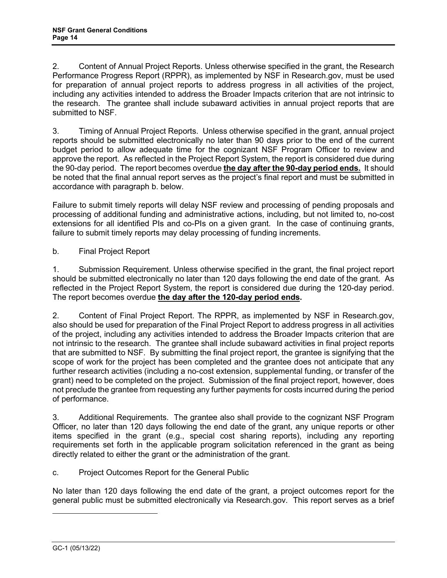2. Content of Annual Project Reports. Unless otherwise specified in the grant, the Research Performance Progress Report (RPPR), as implemented by NSF in Research.gov, must be used for preparation of annual project reports to address progress in all activities of the project, including any activities intended to address the Broader Impacts criterion that are not intrinsic to the research. The grantee shall include subaward activities in annual project reports that are submitted to NSF.

3. Timing of Annual Project Reports. Unless otherwise specified in the grant, annual project reports should be submitted electronically no later than 90 days prior to the end of the current budget period to allow adequate time for the cognizant NSF Program Officer to review and approve the report. As reflected in the Project Report System, the report is considered due during the 90-day period. The report becomes overdue **the day after the 90-day period ends.** It should be noted that the final annual report serves as the project's final report and must be submitted in accordance with paragraph b. below.

Failure to submit timely reports will delay NSF review and processing of pending proposals and processing of additional funding and administrative actions, including, but not limited to, no-cost extensions for all identified PIs and co-PIs on a given grant. In the case of continuing grants, failure to submit timely reports may delay processing of funding increments.

b. Final Project Report

1. Submission Requirement. Unless otherwise specified in the grant, the final project report should be submitted electronically no later than 120 days following the end date of the grant. As reflected in the Project Report System, the report is considered due during the 120-day period. The report becomes overdue **the day after the 120-day period ends.** 

2. Content of Final Project Report. The RPPR, as implemented by NSF in Research.gov, also should be used for preparation of the Final Project Report to address progress in all activities of the project, including any activities intended to address the Broader Impacts criterion that are not intrinsic to the research. The grantee shall include subaward activities in final project reports that are submitted to NSF. By submitting the final project report, the grantee is signifying that the scope of work for the project has been completed and the grantee does not anticipate that any further research activities (including a no-cost extension, supplemental funding, or transfer of the grant) need to be completed on the project. Submission of the final project report, however, does not preclude the grantee from requesting any further payments for costs incurred during the period of performance.

3. Additional Requirements. The grantee also shall provide to the cognizant NSF Program Officer, no later than 120 days following the end date of the grant, any unique reports or other items specified in the grant (e.g., special cost sharing reports), including any reporting requirements set forth in the applicable program solicitation referenced in the grant as being directly related to either the grant or the administration of the grant.

c. Project Outcomes Report for the General Public

No later than 120 days following the end date of the grant, a project outcomes report for the general public must be submitted electronically via Research.gov. This report serves as a brief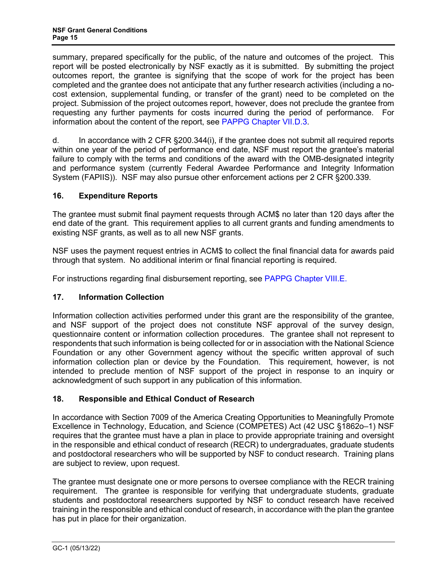<span id="page-14-2"></span>summary, prepared specifically for the public, of the nature and outcomes of the project. This report will be posted electronically by NSF exactly as it is submitted. By submitting the project outcomes report, the grantee is signifying that the scope of work for the project has been completed and the grantee does not anticipate that any further research activities (including a nocost extension, supplemental funding, or transfer of the grant) need to be completed on the project. Submission of the project outcomes report, however, does not preclude the grantee from requesting any further payments for costs incurred during the period of performance. For information about the content of the report, see [PAPPG Chapter VII.D.3.](https://www.nsf.gov/pubs/policydocs/pappg22_1/pappg_7.jsp#VIID3)

d. In accordance with 2 CFR §200.344(i), if the grantee does not submit all required reports within one year of the period of performance end date, NSF must report the grantee's material failure to comply with the terms and conditions of the award with the OMB-designated integrity and performance system (currently Federal Awardee Performance and Integrity Information System (FAPIIS)). NSF may also pursue other enforcement actions per 2 CFR §200.339.

# <span id="page-14-0"></span>**16. Expenditure Reports**

The grantee must submit final payment requests through ACM\$ no later than 120 days after the end date of the grant. This requirement applies to all current grants and funding amendments to existing NSF grants, as well as to all new NSF grants.

NSF uses the payment request entries in ACM\$ to collect the final financial data for awards paid through that system. No additional interim or final financial reporting is required.

<span id="page-14-1"></span>For instructions regarding final disbursement reporting, see [PAPPG Chapter VIII.E.](https://www.nsf.gov/pubs/policydocs/pappg22_1/pappg_8.jsp#VIIIE)

# **17. Information Collection**

Information collection activities performed under this grant are the responsibility of the grantee, and NSF support of the project does not constitute NSF approval of the survey design, questionnaire content or information collection procedures. The grantee shall not represent to respondents that such information is being collected for or in association with the National Science Foundation or any other Government agency without the specific written approval of such information collection plan or device by the Foundation. This requirement, however, is not intended to preclude mention of NSF support of the project in response to an inquiry or acknowledgment of such support in any publication of this information.

# **18. Responsible and Ethical Conduct of Research**

In accordance with Section 7009 of the America Creating Opportunities to Meaningfully Promote Excellence in Technology, Education, and Science (COMPETES) Act (42 USC §1862o–1) NSF requires that the grantee must have a plan in place to provide appropriate training and oversight in the responsible and ethical conduct of research (RECR) to undergraduates, graduate students and postdoctoral researchers who will be supported by NSF to conduct research. Training plans are subject to review, upon request.

The grantee must designate one or more persons to oversee compliance with the RECR training requirement. The grantee is responsible for verifying that undergraduate students, graduate students and postdoctoral researchers supported by NSF to conduct research have received training in the responsible and ethical conduct of research, in accordance with the plan the grantee has put in place for their organization.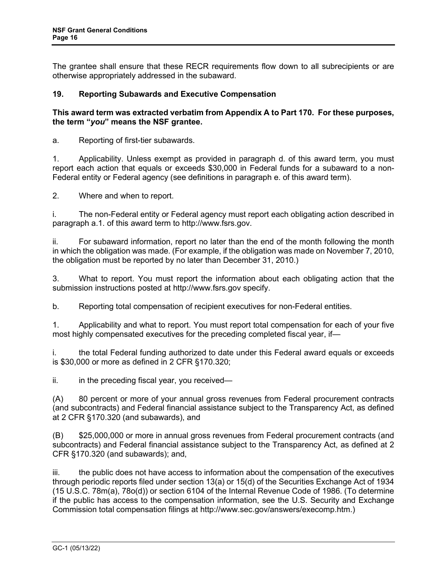<span id="page-15-0"></span>The grantee shall ensure that these RECR requirements flow down to all subrecipients or are otherwise appropriately addressed in the subaward.

## **19. Reporting Subawards and Executive Compensation**

## **This award term was extracted verbatim from Appendix A to Part 170. For these purposes, the term "***you***" means the NSF grantee.**

a. Reporting of first-tier subawards.

1. Applicability. Unless exempt as provided in paragraph d. of this award term, you must report each action that equals or exceeds \$30,000 in Federal funds for a subaward to a non-Federal entity or Federal agency (see definitions in paragraph e. of this award term).

2. Where and when to report.

i. The non-Federal entity or Federal agency must report each obligating action described in paragraph a.1. of this award term to http://www.fsrs.gov.

ii. For subaward information, report no later than the end of the month following the month in which the obligation was made. (For example, if the obligation was made on November 7, 2010, the obligation must be reported by no later than December 31, 2010.)

3. What to report. You must report the information about each obligating action that the submission instructions posted at http://www.fsrs.gov specify.

b. Reporting total compensation of recipient executives for non-Federal entities.

1. Applicability and what to report. You must report total compensation for each of your five most highly compensated executives for the preceding completed fiscal year, if—

i. the total Federal funding authorized to date under this Federal award equals or exceeds is \$30,000 or more as defined in 2 CFR §170.320;

 $ii.$  in the preceding fiscal year, you received—

(A) 80 percent or more of your annual gross revenues from Federal procurement contracts (and subcontracts) and Federal financial assistance subject to the Transparency Act, as defined at 2 CFR §170.320 (and subawards), and

(B) \$25,000,000 or more in annual gross revenues from Federal procurement contracts (and subcontracts) and Federal financial assistance subject to the Transparency Act, as defined at 2 CFR §170.320 (and subawards); and,

iii. the public does not have access to information about the compensation of the executives through periodic reports filed under section 13(a) or 15(d) of the Securities Exchange Act of 1934 (15 U.S.C. 78m(a), 78o(d)) or section 6104 of the Internal Revenue Code of 1986. (To determine if the public has access to the compensation information, see the U.S. Security and Exchange Commission total compensation filings at http://www.sec.gov/answers/execomp.htm.)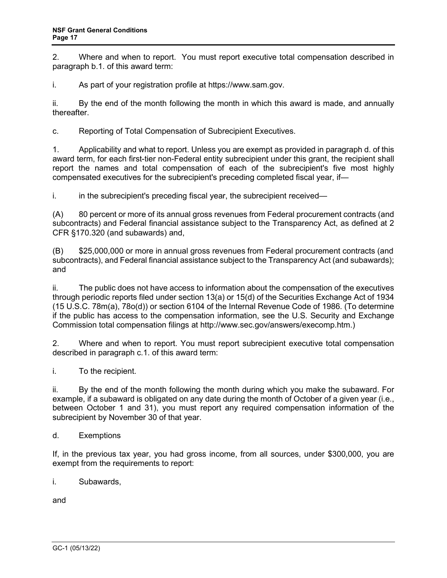2. Where and when to report. You must report executive total compensation described in paragraph b.1. of this award term:

i. As part of your registration profile at https://www.sam.gov.

ii. By the end of the month following the month in which this award is made, and annually thereafter.

c. Reporting of Total Compensation of Subrecipient Executives.

1. Applicability and what to report. Unless you are exempt as provided in paragraph d. of this award term, for each first-tier non-Federal entity subrecipient under this grant, the recipient shall report the names and total compensation of each of the subrecipient's five most highly compensated executives for the subrecipient's preceding completed fiscal year, if—

i. in the subrecipient's preceding fiscal year, the subrecipient received—

(A) 80 percent or more of its annual gross revenues from Federal procurement contracts (and subcontracts) and Federal financial assistance subject to the Transparency Act, as defined at 2 CFR §170.320 (and subawards) and,

(B) \$25,000,000 or more in annual gross revenues from Federal procurement contracts (and subcontracts), and Federal financial assistance subject to the Transparency Act (and subawards); and

ii. The public does not have access to information about the compensation of the executives through periodic reports filed under section 13(a) or 15(d) of the Securities Exchange Act of 1934 (15 U.S.C. 78m(a), 78o(d)) or section 6104 of the Internal Revenue Code of 1986. (To determine if the public has access to the compensation information, see the U.S. Security and Exchange Commission total compensation filings at http://www.sec.gov/answers/execomp.htm.)

2. Where and when to report. You must report subrecipient executive total compensation described in paragraph c.1. of this award term:

i. To the recipient.

ii. By the end of the month following the month during which you make the subaward. For example, if a subaward is obligated on any date during the month of October of a given year (i.e., between October 1 and 31), you must report any required compensation information of the subrecipient by November 30 of that year.

d. Exemptions

If, in the previous tax year, you had gross income, from all sources, under \$300,000, you are exempt from the requirements to report:

i. Subawards,

and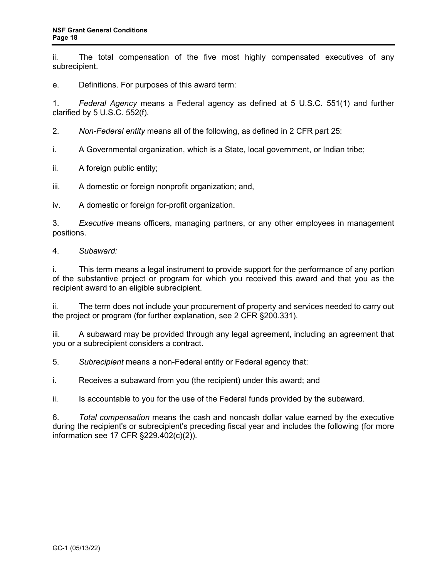ii. The total compensation of the five most highly compensated executives of any subrecipient.

e. Definitions. For purposes of this award term:

1. *Federal Agency* means a Federal agency as defined at 5 U.S.C. 551(1) and further clarified by 5 U.S.C. 552(f).

2. *Non-Federal entity* means all of the following, as defined in 2 CFR part 25:

i. A Governmental organization, which is a State, local government, or Indian tribe;

ii. A foreign public entity;

iii. A domestic or foreign nonprofit organization; and,

iv. A domestic or foreign for-profit organization.

3. *Executive* means officers, managing partners, or any other employees in management positions.

4. *Subaward:*

i. This term means a legal instrument to provide support for the performance of any portion of the substantive project or program for which you received this award and that you as the recipient award to an eligible subrecipient.

ii. The term does not include your procurement of property and services needed to carry out the project or program (for further explanation, see 2 CFR §200.331).

iii. A subaward may be provided through any legal agreement, including an agreement that you or a subrecipient considers a contract.

5. *Subrecipient* means a non-Federal entity or Federal agency that:

i. Receives a subaward from you (the recipient) under this award; and

ii. Is accountable to you for the use of the Federal funds provided by the subaward.

6. *Total compensation* means the cash and noncash dollar value earned by the executive during the recipient's or subrecipient's preceding fiscal year and includes the following (for more information see 17 CFR §229.402(c)(2)).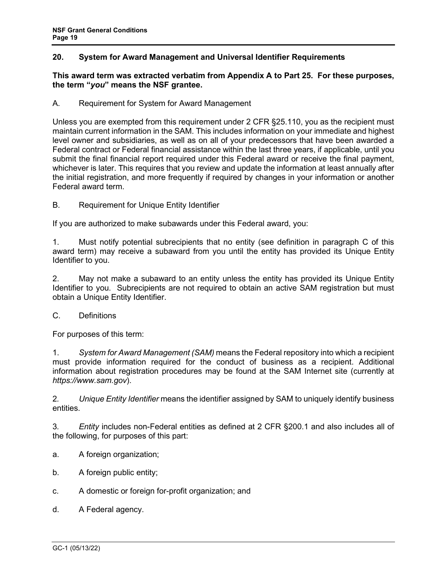# <span id="page-18-0"></span>**20. System for Award Management and Universal Identifier Requirements**

#### **This award term was extracted verbatim from Appendix A to Part 25. For these purposes, the term "***you***" means the NSF grantee.**

A. Requirement for System for Award Management

Unless you are exempted from this requirement under 2 CFR §25.110, you as the recipient must maintain current information in the SAM. This includes information on your immediate and highest level owner and subsidiaries, as well as on all of your predecessors that have been awarded a Federal contract or Federal financial assistance within the last three years, if applicable, until you submit the final financial report required under this Federal award or receive the final payment, whichever is later. This requires that you review and update the information at least annually after the initial registration, and more frequently if required by changes in your information or another Federal award term.

B. Requirement for Unique Entity Identifier

If you are authorized to make subawards under this Federal award, you:

1. Must notify potential subrecipients that no entity (see definition in paragraph C of this award term) may receive a subaward from you until the entity has provided its Unique Entity Identifier to you.

2. May not make a subaward to an entity unless the entity has provided its Unique Entity Identifier to you. Subrecipients are not required to obtain an active SAM registration but must obtain a Unique Entity Identifier.

C. Definitions

For purposes of this term:

1. *System for Award Management (SAM)* means the Federal repository into which a recipient must provide information required for the conduct of business as a recipient. Additional information about registration procedures may be found at the SAM Internet site (currently at *https://www.sam.gov*).

2*. Unique Entity Identifier* means the identifier assigned by SAM to uniquely identify business entities.

3*. Entity* includes non-Federal entities as defined at 2 CFR §200.1 and also includes all of the following, for purposes of this part:

- a. A foreign organization;
- b. A foreign public entity;
- c. A domestic or foreign for-profit organization; and
- d. A Federal agency.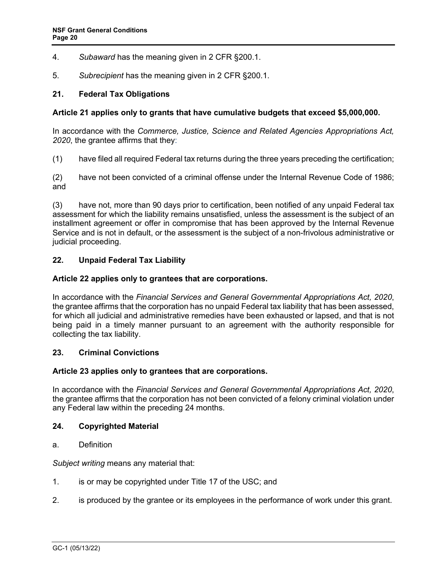- <span id="page-19-1"></span>4. *Subaward* has the meaning given in 2 CFR §200.1.
- 5. *Subrecipient* has the meaning given in 2 CFR §200.1.

#### **21. Federal Tax Obligations**

#### **Article 21 applies only to grants that have cumulative budgets that exceed \$5,000,000.**

In accordance with the *Commerce, Justice, Science and Related Agencies Appropriations Act, 2020*, the grantee affirms that they:

(1) have filed all required Federal tax returns during the three years preceding the certification;

(2) have not been convicted of a criminal offense under the Internal Revenue Code of 1986; and

(3) have not, more than 90 days prior to certification, been notified of any unpaid Federal tax assessment for which the liability remains unsatisfied, unless the assessment is the subject of an installment agreement or offer in compromise that has been approved by the Internal Revenue Service and is not in default, or the assessment is the subject of a non-frivolous administrative or judicial proceeding.

#### **22. Unpaid Federal Tax Liability**

#### **Article 22 applies only to grantees that are corporations.**

In accordance with the *Financial Services and General Governmental Appropriations Act, 2020*, the grantee affirms that the corporation has no unpaid Federal tax liability that has been assessed, for which all judicial and administrative remedies have been exhausted or lapsed, and that is not being paid in a timely manner pursuant to an agreement with the authority responsible for collecting the tax liability.

#### **23. Criminal Convictions**

#### **Article 23 applies only to grantees that are corporations.**

In accordance with the *Financial Services and General Governmental Appropriations Act, 2020*, the grantee affirms that the corporation has not been convicted of a felony criminal violation under any Federal law within the preceding 24 months.

#### <span id="page-19-0"></span>**24. Copyrighted Material**

a. Definition

*Subject writing* means any material that:

- 1. is or may be copyrighted under [Title 17 of the USC;](http://www.access.gpo.gov/uscode/title17/title17.html) and
- 2. is produced by the grantee or its employees in the performance of work under this grant.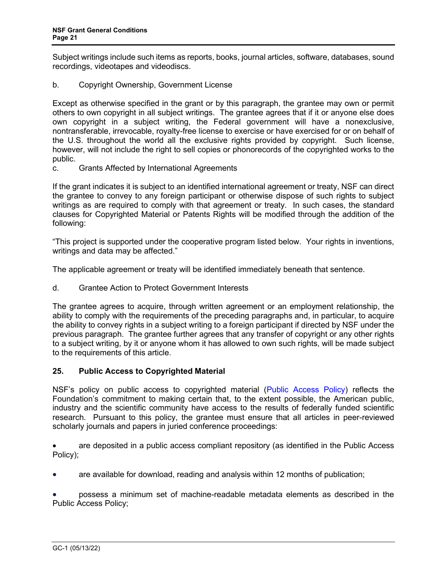<span id="page-20-0"></span>Subject writings include such items as reports, books, journal articles, software, databases, sound recordings, videotapes and videodiscs.

b. Copyright Ownership, Government License

Except as otherwise specified in the grant or by this paragraph, the grantee may own or permit others to own copyright in all subject writings. The grantee agrees that if it or anyone else does own copyright in a subject writing, the Federal government will have a nonexclusive, nontransferable, irrevocable, royalty-free license to exercise or have exercised for or on behalf of the U.S. throughout the world all the exclusive rights provided by copyright. Such license, however, will not include the right to sell copies or phonorecords of the copyrighted works to the public.

c. Grants Affected by International Agreements

If the grant indicates it is subject to an identified international agreement or treaty, NSF can direct the grantee to convey to any foreign participant or otherwise dispose of such rights to subject writings as are required to comply with that agreement or treaty. In such cases, the standard clauses for Copyrighted Material or Patents Rights will be modified through the addition of the following:

"This project is supported under the cooperative program listed below. Your rights in inventions, writings and data may be affected."

The applicable agreement or treaty will be identified immediately beneath that sentence.

d. Grantee Action to Protect Government Interests

The grantee agrees to acquire, through written agreement or an employment relationship, the ability to comply with the requirements of the preceding paragraphs and, in particular, to acquire the ability to convey rights in a subject writing to a foreign participant if directed by NSF under the previous paragraph. The grantee further agrees that any transfer of copyright or any other rights to a subject writing, by it or anyone whom it has allowed to own such rights, will be made subject to the requirements of this article.

## **25. Public Access to Copyrighted Material**

NSF's policy on public access to copyrighted material [\(Public Access Policy\)](http://www.nsf.gov/news/special_reports/public_access/) reflects the Foundation's commitment to making certain that, to the extent possible, the American public, industry and the scientific community have access to the results of federally funded scientific research. Pursuant to this policy, the grantee must ensure that all articles in peer-reviewed scholarly journals and papers in juried conference proceedings:

are deposited in a public access compliant repository (as identified in the Public Access Policy);

• are available for download, reading and analysis within 12 months of publication;

• possess a minimum set of machine-readable metadata elements as described in the Public Access Policy;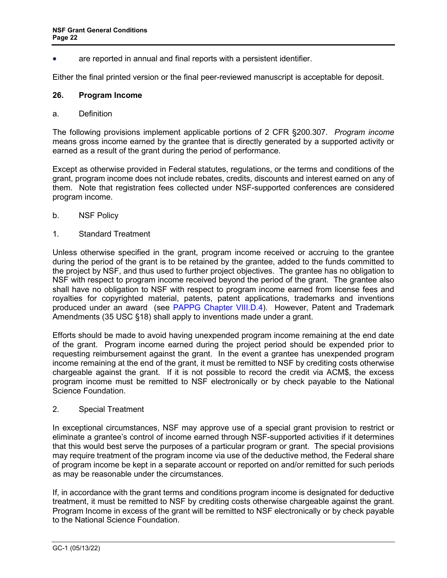are reported in annual and final reports with a persistent identifier.

Either the final printed version or the final peer-reviewed manuscript is acceptable for deposit.

#### <span id="page-21-0"></span>**26. Program Income**

a. Definition

The following provisions implement applicable portions of 2 CFR §200.307. *Program income* means gross income earned by the grantee that is directly generated by a supported activity or earned as a result of the grant during the period of performance.

Except as otherwise provided in Federal statutes, regulations, or the terms and conditions of the grant, program income does not include rebates, credits, discounts and interest earned on any of them. Note that registration fees collected under NSF-supported conferences are considered program income.

- b. NSF Policy
- 1. Standard Treatment

Unless otherwise specified in the grant, program income received or accruing to the grantee during the period of the grant is to be retained by the grantee, added to the funds committed to the project by NSF, and thus used to further project objectives. The grantee has no obligation to NSF with respect to program income received beyond the period of the grant. The grantee also shall have no obligation to NSF with respect to program income earned from license fees and royalties for copyrighted material, patents, patent applications, trademarks and inventions produced under an award (see [PAPPG Chapter VIII.D.4\)](https://www.nsf.gov/pubs/policydocs/pappg22_1/pappg_8.jsp#VIIID4). However, Patent and Trademark Amendments (35 USC §18) shall apply to inventions made under a grant.

Efforts should be made to avoid having unexpended program income remaining at the end date of the grant. Program income earned during the project period should be expended prior to requesting reimbursement against the grant. In the event a grantee has unexpended program income remaining at the end of the grant, it must be remitted to NSF by crediting costs otherwise chargeable against the grant. If it is not possible to record the credit via ACM\$, the excess program income must be remitted to NSF electronically or by check payable to the National Science Foundation.

#### 2. Special Treatment

In exceptional circumstances, NSF may approve use of a special grant provision to restrict or eliminate a grantee's control of income earned through NSF-supported activities if it determines that this would best serve the purposes of a particular program or grant. The special provisions may require treatment of the program income via use of the deductive method, the Federal share of program income be kept in a separate account or reported on and/or remitted for such periods as may be reasonable under the circumstances.

If, in accordance with the grant terms and conditions program income is designated for deductive treatment, it must be remitted to NSF by crediting costs otherwise chargeable against the grant. Program Income in excess of the grant will be remitted to NSF electronically or by check payable to the National Science Foundation.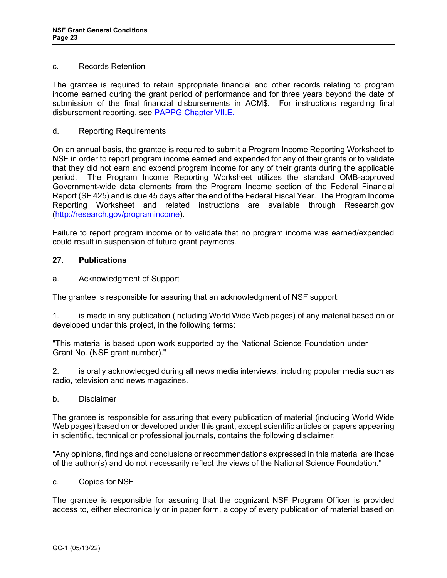#### c. Records Retention

The grantee is required to retain appropriate financial and other records relating to program income earned during the grant period of performance and for three years beyond the date of submission of the final financial disbursements in ACM\$. For instructions regarding final disbursement reporting, see [PAPPG Chapter VII.E.](https://www.nsf.gov/pubs/policydocs/pappg22_1/pappg_8.jsp#VIIIE)

#### d. Reporting Requirements

On an annual basis, the grantee is required to submit a Program Income Reporting Worksheet to NSF in order to report program income earned and expended for any of their grants or to validate that they did not earn and expend program income for any of their grants during the applicable period. The Program Income Reporting Worksheet utilizes the standard OMB-approved Government-wide data elements from the Program Income section of the Federal Financial Report (SF 425) and is due 45 days after the end of the Federal Fiscal Year. The Program Income Reporting Worksheet and related instructions are available through Research.gov [\(http://research.gov/programincome\)](http://research.gov/programincome).

Failure to report program income or to validate that no program income was earned/expended could result in suspension of future grant payments.

#### <span id="page-22-0"></span>**27. Publications**

a. Acknowledgment of Support

The grantee is responsible for assuring that an acknowledgment of NSF support:

1. is made in any publication (including World Wide Web pages) of any material based on or developed under this project, in the following terms:

"This material is based upon work supported by the National Science Foundation under Grant No. (NSF grant number)."

2. is orally acknowledged during all news media interviews, including popular media such as radio, television and news magazines.

b. Disclaimer

The grantee is responsible for assuring that every publication of material (including World Wide Web pages) based on or developed under this grant, except scientific articles or papers appearing in scientific, technical or professional journals, contains the following disclaimer:

"Any opinions, findings and conclusions or recommendations expressed in this material are those of the author(s) and do not necessarily reflect the views of the National Science Foundation."

c. Copies for NSF

The grantee is responsible for assuring that the cognizant NSF Program Officer is provided access to, either electronically or in paper form, a copy of every publication of material based on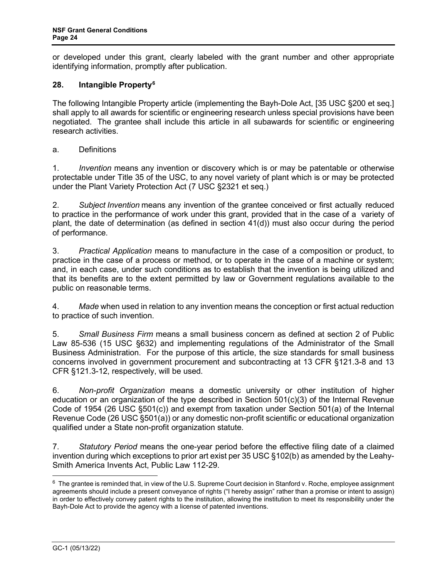or developed under this grant, clearly labeled with the grant number and other appropriate identifying information, promptly after publication.

# <span id="page-23-0"></span>**28. Intangible Property[6](#page-23-1)**

The following Intangible Property article (implementing the Bayh-Dole Act, [35 USC §200 et seq.] shall apply to all awards for scientific or engineering research unless special provisions have been negotiated. The grantee shall include this article in all subawards for scientific or engineering research activities.

a. Definitions

1. *Invention* means any invention or discovery which is or may be patentable or otherwise protectable under Title 35 of the USC, to any novel variety of plant which is or may be protected under the Plant Variety Protection Act [\(7 USC §2321 et seq.](http://www.access.gpo.gov/uscode/title7/chapter57_.html))

2. *Subject Invention* means any invention of the grantee conceived or first actually reduced to practice in the performance of work under this grant, provided that in the case of a variety of plant, the date of determination (as defined in section 41(d)) must also occur during the period of performance.

3. *Practical Application* means to manufacture in the case of a composition or product, to practice in the case of a process or method, or to operate in the case of a machine or system; and, in each case, under such conditions as to establish that the invention is being utilized and that its benefits are to the extent permitted by law or Government regulations available to the public on reasonable terms.

4. *Made* when used in relation to any invention means the conception or first actual reduction to practice of such invention.

5. *Small Business Firm* means a small business concern as defined at section 2 of Public Law 85-536 (15 USC §632) and implementing regulations of the Administrator of the Small Business Administration. For the purpose of this article, the size standards for small business concerns involved in government procurement and subcontracting at 13 CFR §121.3-8 and 13 CFR §121.3-12, respectively, will be used.

6. *Non-profit Organization* means a domestic university or other institution of higher education or an organization of the type described in Section 501(c)(3) of the Internal Revenue Code of 1954 [\(26 USC §501\(c\)\)](http://frwebgate.access.gpo.gov/cgi-bin/getdoc.cgi?dbname=browse_usc&docid=Cite:+26USC501) and exempt from taxation under Section 501(a) of the Internal Revenue Code [\(26 USC §501\(a\)\)](http://frwebgate.access.gpo.gov/cgi-bin/getdoc.cgi?dbname=browse_usc&docid=Cite:+26USC501) or any domestic non-profit scientific or educational organization qualified under a State non-profit organization statute.

7. *Statutory Period* means the one-year period before the effective filing date of a claimed invention during which exceptions to prior art exist per 35 USC §102(b) as amended by the Leahy-Smith America Invents Act, Public Law 112-29.

<span id="page-23-1"></span> $6$  The grantee is reminded that, in view of the U.S. Supreme Court decision in Stanford v. Roche, employee assignment agreements should include a present conveyance of rights ("I hereby assign" rather than a promise or intent to assign) in order to effectively convey patent rights to the institution, allowing the institution to meet its responsibility under the Bayh-Dole Act to provide the agency with a license of patented inventions.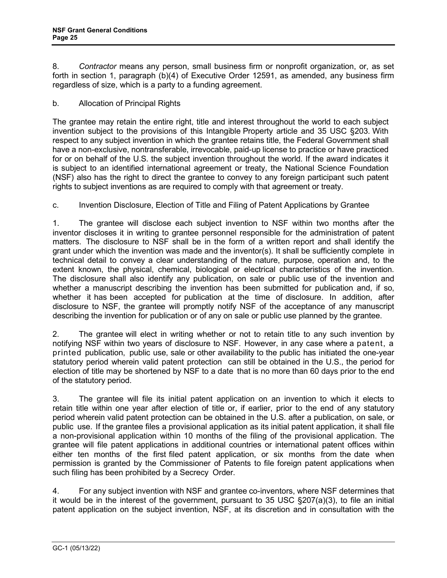8. *Contractor* means any person, small business firm or nonprofit organization, or, as set forth in section 1, paragraph (b)(4) of Executive Order 12591, as amended, any business firm regardless of size, which is a party to a funding agreement.

# b. Allocation of Principal Rights

The grantee may retain the entire right, title and interest throughout the world to each subject invention subject to the provisions of this Intangible Property article and 35 USC [§203.](http://frwebgate.access.gpo.gov/cgi-bin/getdoc.cgi?dbname=browse_usc&docid=Cite%3A%2B35USC203) With respect to any subject invention in which the grantee retains title, the Federal Government shall have a non-exclusive, nontransferable, irrevocable, paid-up license to practice or have practiced for or on behalf of the U.S. the subject invention throughout the world. If the award indicates it is subject to an identified international agreement or treaty, the National Science Foundation (NSF) also has the right to direct the grantee to convey to any foreign participant such patent rights to subject inventions as are required to comply with that agreement or treaty.

# c. Invention Disclosure, Election of Title and Filing of Patent Applications by Grantee

1. The grantee will disclose each subject invention to NSF within two months after the inventor discloses it in writing to grantee personnel responsible for the administration of patent matters. The disclosure to NSF shall be in the form of a written report and shall identify the grant under which the invention was made and the inventor(s). It shall be sufficiently complete in technical detail to convey a clear understanding of the nature, purpose, operation and, to the extent known, the physical, chemical, biological or electrical characteristics of the invention. The disclosure shall also identify any publication, on sale or public use of the invention and whether a manuscript describing the invention has been submitted for publication and, if so, whether it has been accepted for publication at the time of disclosure. In addition, after disclosure to NSF, the grantee will promptly notify NSF of the acceptance of any manuscript describing the invention for publication or of any on sale or public use planned by the grantee.

2. The grantee will elect in writing whether or not to retain title to any such invention by notifying NSF within two years of disclosure to NSF. However, in any case where a patent, a printed publication, public use, sale or other availability to the public has initiated the one-year statutory period wherein valid patent protection can still be obtained in the U.S., the period for election of title may be shortened by NSF to a date that is no more than 60 days prior to the end of the statutory period.

3. The grantee will file its initial patent application on an invention to which it elects to retain title within one year after election of title or, if earlier, prior to the end of any statutory period wherein valid patent protection can be obtained in the U.S. after a publication, on sale, or public use. If the grantee files a provisional application as its initial patent application, it shall file a non-provisional application within 10 months of the filing of the provisional application. The grantee will file patent applications in additional countries or international patent offices within either ten months of the first filed patent application, or six months from the date when permission is granted by the Commissioner of Patents to file foreign patent applications when such filing has been prohibited by a Secrecy Order.

4. For any subject invention with NSF and grantee co-inventors, where NSF determines that it would be in the interest of the government, pursuant to 35 USC §207(a)(3), to file an initial patent application on the subject invention, NSF, at its discretion and in consultation with the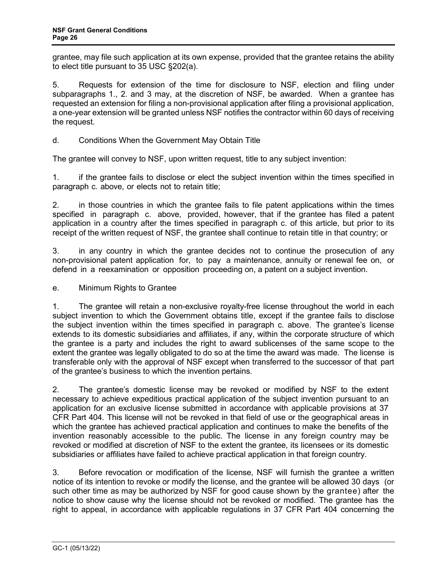grantee, may file such application at its own expense, provided that the grantee retains the ability to elect title pursuant to 35 USC §202(a).

5. Requests for extension of the time for disclosure to NSF, election and filing under subparagraphs 1., 2. and 3 may, at the discretion of NSF, be awarded. When a grantee has requested an extension for filing a non-provisional application after filing a provisional application, a one-year extension will be granted unless NSF notifies the contractor within 60 days of receiving the request.

d. Conditions When the Government May Obtain Title

The grantee will convey to NSF, upon written request, title to any subject invention:

1. if the grantee fails to disclose or elect the subject invention within the times specified in paragraph c. above, or elects not to retain title;

2. in those countries in which the grantee fails to file patent applications within the times specified in paragraph c. above, provided, however, that if the grantee has filed a patent application in a country after the times specified in paragraph c. of this article, but prior to its receipt of the written request of NSF, the grantee shall continue to retain title in that country; or

3. in any country in which the grantee decides not to continue the prosecution of any non-provisional patent application for, to pay a maintenance, annuity or renewal fee on, or defend in a reexamination or opposition proceeding on, a patent on a subject invention.

e. Minimum Rights to Grantee

1. The grantee will retain a non-exclusive royalty-free license throughout the world in each subject invention to which the Government obtains title, except if the grantee fails to disclose the subject invention within the times specified in paragraph c. above. The grantee's license extends to its domestic subsidiaries and affiliates, if any, within the corporate structure of which the grantee is a party and includes the right to award sublicenses of the same scope to the extent the grantee was legally obligated to do so at the time the award was made. The license is transferable only with the approval of NSF except when transferred to the successor of that part of the grantee's business to which the invention pertains.

2. The grantee's domestic license may be revoked or modified by NSF to the extent necessary to achieve expeditious practical application of the subject invention pursuant to an application for an exclusive license submitted in accordance with applicable provisions at [37](http://www.access.gpo.gov/nara/cfr/waisidx_06/37cfr404_06.html) [CFR](http://www.access.gpo.gov/nara/cfr/waisidx_06/37cfr404_06.html) Part 404. This license will not be revoked in that field of use or the geographical areas in which the grantee has achieved practical application and continues to make the benefits of the invention reasonably accessible to the public. The license in any foreign country may be revoked or modified at discretion of NSF to the extent the grantee, its licensees or its domestic subsidiaries or affiliates have failed to achieve practical application in that foreign country.

3. Before revocation or modification of the license, NSF will furnish the grantee a written notice of its intention to revoke or modify the license, and the grantee will be allowed 30 days (or such other time as may be authorized by NSF for good cause shown by the grantee) after the notice to show cause why the license should not be revoked or modified. The grantee has the right to appeal, in accordance with applicable regulations in 37 [CFR](http://www.access.gpo.gov/nara/cfr/waisidx_06/37cfr404_06.html) Part 404 concerning the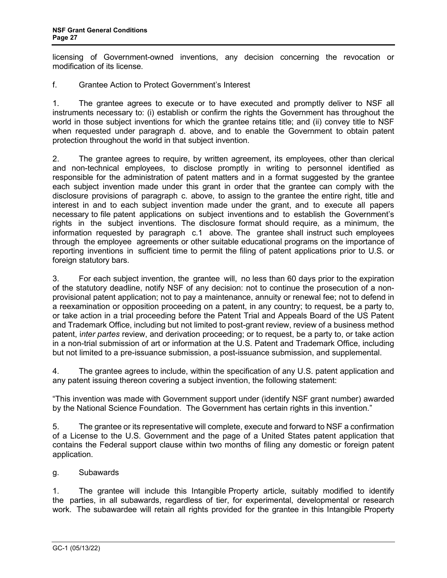licensing of Government-owned inventions, any decision concerning the revocation or modification of its license.

f. Grantee Action to Protect Government's Interest

1. The grantee agrees to execute or to have executed and promptly deliver to NSF all instruments necessary to: (i) establish or confirm the rights the Government has throughout the world in those subject inventions for which the grantee retains title; and (ii) convey title to NSF when requested under paragraph d. above, and to enable the Government to obtain patent protection throughout the world in that subject invention.

2. The grantee agrees to require, by written agreement, its employees, other than clerical and non-technical employees, to disclose promptly in writing to personnel identified as responsible for the administration of patent matters and in a format suggested by the grantee each subject invention made under this grant in order that the grantee can comply with the disclosure provisions of paragraph c. above, to assign to the grantee the entire right, title and interest in and to each subject invention made under the grant, and to execute all papers necessary to file patent applications on subject inventions and to establish the Government's rights in the subject inventions. The disclosure format should require, as a minimum, the information requested by paragraph c.1 above. The grantee shall instruct such employees through the employee agreements or other suitable educational programs on the importance of reporting inventions in sufficient time to permit the filing of patent applications prior to U.S. or foreign statutory bars.

3. For each subject invention, the grantee will, no less than 60 days prior to the expiration of the statutory deadline, notify NSF of any decision: not to continue the prosecution of a nonprovisional patent application; not to pay a maintenance, annuity or renewal fee; not to defend in a reexamination or opposition proceeding on a patent, in any country; to request, be a party to, or take action in a trial proceeding before the Patent Trial and Appeals Board of the US Patent and Trademark Office, including but not limited to post-grant review, review of a business method patent, i*nter partes* review, and derivation proceeding; or to request, be a party to, or take action in a non-trial submission of art or information at the U.S. Patent and Trademark Office, including but not limited to a pre-issuance submission, a post-issuance submission, and supplemental.

4. The grantee agrees to include, within the specification of any U.S. patent application and any patent issuing thereon covering a subject invention, the following statement:

"This invention was made with Government support under (identify NSF grant number) awarded by the National Science Foundation. The Government has certain rights in this invention."

5. The grantee or its representative will complete, execute and forward to NSF a confirmation of a License to the U.S. Government and the page of a United States patent application that contains the Federal support clause within two months of filing any domestic or foreign patent application.

g. Subawards

1. The grantee will include this Intangible Property article, suitably modified to identify the parties, in all subawards, regardless of tier, for experimental, developmental or research work. The subawardee will retain all rights provided for the grantee in this Intangible Property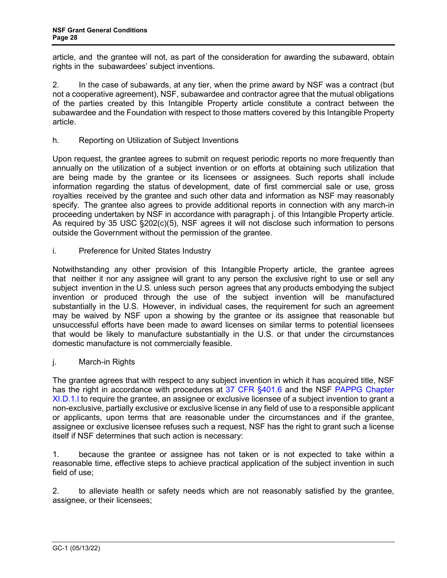article, and the grantee will not, as part of the consideration for awarding the subaward, obtain rights in the subawardees' subject inventions.

2. In the case of subawards, at any tier, when the prime award by NSF was a contract (but not a cooperative agreement), NSF, subawardee and contractor agree that the mutual obligations of the parties created by this Intangible Property article constitute a contract between the subawardee and the Foundation with respect to those matters covered by this Intangible Property article.

h. Reporting on Utilization of Subject Inventions

Upon request, the grantee agrees to submit on request periodic reports no more frequently than annually on the utilization of a subject invention or on efforts at obtaining such utilization that are being made by the grantee or its licensees or assignees. Such reports shall include information regarding the status of development, date of first commercial sale or use, gross royalties received by the grantee and such other data and information as NSF may reasonably specify. The grantee also agrees to provide additional reports in connection with any march-in proceeding undertaken by NSF in accordance with paragraph j. of this Intangible Property article. As required by 35 USC [§202\(c\)\(5\),](http://frwebgate.access.gpo.gov/cgi-bin/getdoc.cgi?dbname=browse_usc&docid=Cite%3A%2B35USC202) NSF agrees it will not disclose such information to persons outside the Government without the permission of the grantee.

i. Preference for United States Industry

Notwithstanding any other provision of this Intangible Property article, the grantee agrees that neither it nor any assignee will grant to any person the exclusive right to use or sell any subject invention in the U.S. unless such person agrees that any products embodying the subject invention or produced through the use of the subject invention will be manufactured substantially in the U.S. However, in individual cases, the requirement for such an agreement may be waived by NSF upon a showing by the grantee or its assignee that reasonable but unsuccessful efforts have been made to award licenses on similar terms to potential licensees that would be likely to manufacture substantially in the U.S. or that under the circumstances domestic manufacture is not commercially feasible.

j. March-in Rights

The grantee agrees that with respect to any subject invention in which it has acquired title, NSF has the right in accordance with procedures at [37 CFR §401.6](http://www.access.gpo.gov/nara/cfr/waisidx_06/37cfr401_06.html) and the NSF PAPPG Chapter [XI.D.1.l](https://www.nsf.gov/pubs/policydocs/pappg22_1/pappg_11.jsp#XID1) to require the grantee, an assignee or exclusive licensee of a subject invention to grant a non-exclusive, partially exclusive or exclusive license in any field of use to a responsible applicant or applicants, upon terms that are reasonable under the circumstances and if the grantee, assignee or exclusive licensee refuses such a request, NSF has the right to grant such a license itself if NSF determines that such action is necessary:

1. because the grantee or assignee has not taken or is not expected to take within a reasonable time, effective steps to achieve practical application of the subject invention in such field of use;

2. to alleviate health or safety needs which are not reasonably satisfied by the grantee, assignee, or their licensees;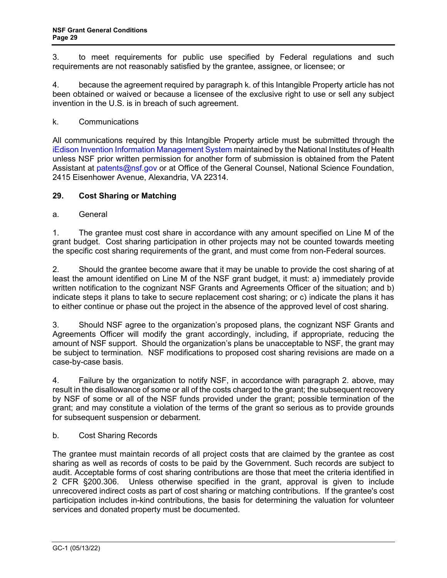3. to meet requirements for public use specified by Federal regulations and such requirements are not reasonably satisfied by the grantee, assignee, or licensee; or

4. because the agreement required by paragraph k. of this Intangible Property article has not been obtained or waived or because a licensee of the exclusive right to use or sell any subject invention in the U.S. is in breach of such agreement.

## k. Communications

All communications required by this Intangible Property article must be submitted through the [iEdison Invention Information Management System](https://public.era.nih.gov/iedison/public/login.do?TYPE=33554433&REALMOID=06-dc4d00e8-1464-45e1-937f-0525407c30fd&GUID=&SMAUTHREASON=0&METHOD=GET&SMAGENTNAME=-SM-938PYmoLVb4VrDeXo04LZUDVDvc%2b3899ByInEAjuSUvWNIGfB2zRpWiCivYGCogG&TARGET=-SM-http%3a%2f%2fpublic%2eera%2enih%2egov%2fiEdison) maintained by the National Institutes of Health unless NSF prior written permission for another form of submission is obtained from the Patent Assistant at [patents@nsf.gov](mailto:patents@nsf.gov) or at Office of the General Counsel, National Science Foundation, 2415 Eisenhower Avenue, Alexandria, VA 22314.

## <span id="page-28-0"></span>**29. Cost Sharing or Matching**

#### a. General

1. The grantee must cost share in accordance with any amount specified on Line M of the grant budget. Cost sharing participation in other projects may not be counted towards meeting the specific cost sharing requirements of the grant, and must come from non-Federal sources.

2. Should the grantee become aware that it may be unable to provide the cost sharing of at least the amount identified on Line M of the NSF grant budget, it must: a) immediately provide written notification to the cognizant NSF Grants and Agreements Officer of the situation; and b) indicate steps it plans to take to secure replacement cost sharing; or c) indicate the plans it has to either continue or phase out the project in the absence of the approved level of cost sharing.

3. Should NSF agree to the organization's proposed plans, the cognizant NSF Grants and Agreements Officer will modify the grant accordingly, including, if appropriate, reducing the amount of NSF support. Should the organization's plans be unacceptable to NSF, the grant may be subject to termination. NSF modifications to proposed cost sharing revisions are made on a case-by-case basis.

4. Failure by the organization to notify NSF, in accordance with paragraph 2. above, may result in the disallowance of some or all of the costs charged to the grant; the subsequent recovery by NSF of some or all of the NSF funds provided under the grant; possible termination of the grant; and may constitute a violation of the terms of the grant so serious as to provide grounds for subsequent suspension or debarment.

#### b. Cost Sharing Records

The grantee must maintain records of all project costs that are claimed by the grantee as cost sharing as well as records of costs to be paid by the Government. Such records are subject to audit. Acceptable forms of cost sharing contributions are those that meet the criteria identified in [2 CFR §200.3](http://a257.g.akamaitech.net/7/257/2422/15mar20071500/edocket.access.gpo.gov/cfr_2007/janqtr/pdf/2cfr215.23.pdf)06. Unless otherwise specified in the grant, approval is given to include unrecovered indirect costs as part of cost sharing or matching contributions. If the grantee's cost participation includes in-kind contributions, the basis for determining the valuation for volunteer services and donated property must be documented.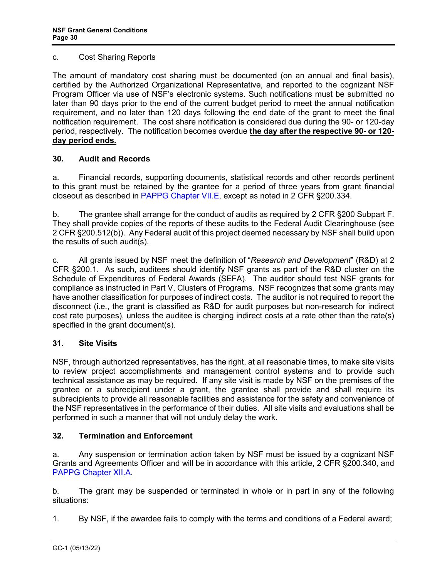#### c. Cost Sharing Reports

The amount of mandatory cost sharing must be documented (on an annual and final basis), certified by the Authorized Organizational Representative, and reported to the cognizant NSF Program Officer via use of NSF's electronic systems. Such notifications must be submitted no later than 90 days prior to the end of the current budget period to meet the annual notification requirement, and no later than 120 days following the end date of the grant to meet the final notification requirement. The cost share notification is considered due during the 90- or 120-day period, respectively. The notification becomes overdue **the day after the respective 90- or 120 day period ends.** 

## <span id="page-29-0"></span>**30. Audit and Records**

a. Financial records, supporting documents, statistical records and other records pertinent to this grant must be retained by the grantee for a period of three years from grant financial closeout as described in [PAPPG Chapter VII.E,](https://www.nsf.gov/pubs/policydocs/pappg22_1/pappg_7.jsp#VIIE) except as noted in 2 CFR §200.334.

b. The grantee shall arrange for the conduct of audits as required by 2 CFR §200 Subpart F. They shall provide copies of the reports of these audits to the Federal Audit Clearinghouse (see 2 CFR §200.512(b)). Any Federal audit of this project deemed necessary by NSF shall build upon the results of such audit(s).

c. All grants issued by NSF meet the definition of "*Research and Development*" (R&D) at 2 CFR §200.1. As such, auditees should identify NSF grants as part of the R&D cluster on the Schedule of Expenditures of Federal Awards (SEFA). The auditor should test NSF grants for compliance as instructed in Part V, Clusters of Programs. NSF recognizes that some grants may have another classification for purposes of indirect costs. The auditor is not required to report the disconnect (i.e., the grant is classified as R&D for audit purposes but non-research for indirect cost rate purposes), unless the auditee is charging indirect costs at a rate other than the rate(s) specified in the grant document(s).

## <span id="page-29-1"></span>**31. Site Visits**

NSF, through authorized representatives, has the right, at all reasonable times, to make site visits to review project accomplishments and management control systems and to provide such technical assistance as may be required. If any site visit is made by NSF on the premises of the grantee or a subrecipient under a grant, the grantee shall provide and shall require its subrecipients to provide all reasonable facilities and assistance for the safety and convenience of the NSF representatives in the performance of their duties. All site visits and evaluations shall be performed in such a manner that will not unduly delay the work.

# **32. Termination and Enforcement**

a. Any suspension or termination action taken by NSF must be issued by a cognizant NSF Grants and Agreements Officer and will be in accordance with this article, 2 CFR §200.340, and [PAPPG Chapter XII.A.](https://www.nsf.gov/pubs/policydocs/pappg22_1/pappg_12.jsp#XIIA)

b. The grant may be suspended or terminated in whole or in part in any of the following situations:

1. By NSF, if the awardee fails to comply with the terms and conditions of a Federal award;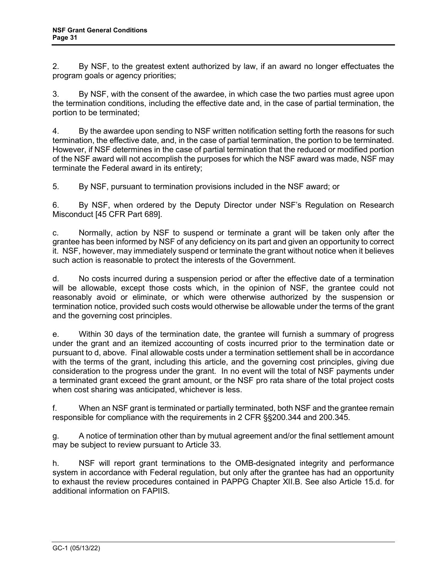<span id="page-30-1"></span>2. By NSF, to the greatest extent authorized by law, if an award no longer effectuates the program goals or agency priorities;

3. By NSF, with the consent of the awardee, in which case the two parties must agree upon the termination conditions, including the effective date and, in the case of partial termination, the portion to be terminated;

4. By the awardee upon sending to NSF written notification setting forth the reasons for such termination, the effective date, and, in the case of partial termination, the portion to be terminated. However, if NSF determines in the case of partial termination that the reduced or modified portion of the NSF award will not accomplish the purposes for which the NSF award was made, NSF may terminate the Federal award in its entirety;

5. By NSF, pursuant to termination provisions included in the NSF award; or

6. By NSF, when ordered by the Deputy Director under NSF's Regulation on Research Misconduct [45 CFR Part 689].

c. Normally, action by NSF to suspend or terminate a grant will be taken only after the grantee has been informed by NSF of any deficiency on its part and given an opportunity to correct it. NSF, however, may immediately suspend or terminate the grant without notice when it believes such action is reasonable to protect the interests of the Government.

d. No costs incurred during a suspension period or after the effective date of a termination will be allowable, except those costs which, in the opinion of NSF, the grantee could not reasonably avoid or eliminate, or which were otherwise authorized by the suspension or termination notice, provided such costs would otherwise be allowable under the terms of the grant and the governing cost principles.

e. Within 30 days of the termination date, the grantee will furnish a summary of progress under the grant and an itemized accounting of costs incurred prior to the termination date or pursuant to d, above. Final allowable costs under a termination settlement shall be in accordance with the terms of the grant, including this article, and the governing cost principles, giving due consideration to the progress under the grant. In no event will the total of NSF payments under a terminated grant exceed the grant amount, or the NSF pro rata share of the total project costs when cost sharing was anticipated, whichever is less.

f. When an NSF grant is terminated or partially terminated, both NSF and the grantee remain responsible for compliance with the requirements in 2 CFR §§200.344 and 200.345.

g. A notice of termination other than by mutual agreement and/or the final settlement amount may be subject to review pursuant to [Article 3](#page-30-0)3.

<span id="page-30-0"></span>h. NSF will report grant terminations to the OMB-designated integrity and performance system in accordance with Federal regulation, but only after the grantee has had an opportunity to exhaust the review procedures contained in PAPPG Chapter XII.B. [See also Article 15.d. for](https://www.nsf.gov/pubs/policydocs/pappg22_1/pappg_12.jsp#XIIB)  [additional information on FAPIIS.](https://www.nsf.gov/pubs/policydocs/pappg22_1/pappg_12.jsp#XIIB)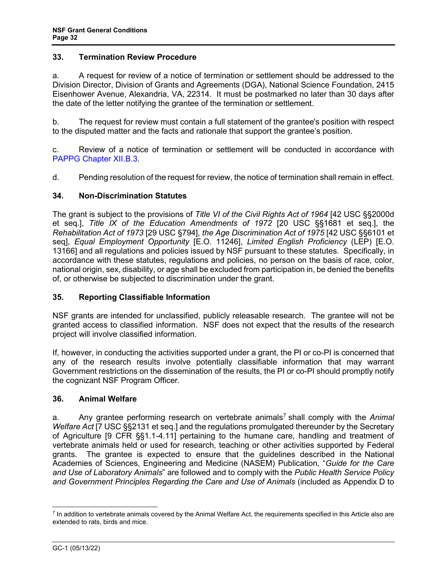## **33. Termination Review Procedure**

a. A request for review of a notice of termination or settlement should be addressed to the Division Director, Division of Grants and Agreements (DGA), National Science Foundation, 2415 Eisenhower Avenue, Alexandria, VA, 22314. It must be postmarked no later than 30 days after the date of the letter notifying the grantee of the termination or settlement.

b. The request for review must contain a full statement of the grantee's position with respect to the disputed matter and the facts and rationale that support the grantee's position.

c. Review of a notice of termination or settlement will be conducted in accordance with [PAPPG Chapter XII.B.3.](https://www.nsf.gov/pubs/policydocs/pappg22_1/pappg_12.jsp#XIIB)

d. Pending resolution of the request for review, the notice of termination shall remain in effect.

## <span id="page-31-0"></span>**34. Non-Discrimination Statutes**

The grant is subject to the provisions of *Title VI of the Civil Rights Act of 1964* [\[42 USC §§2000d](http://frwebgate.access.gpo.gov/cgi-bin/getdoc.cgi?dbname=browse_usc&docid=Cite:+42USC2000d) et seq.], *Title IX of the Education Amendments of 1972* [20 USC §§1681 et seq.], the *Rehabilitation Act of 1973* [\[29 USC §794\]](http://frwebgate.access.gpo.gov/cgi-bin/getdoc.cgi?dbname=browse_usc&docid=Cite:+29USC794), *the Age Discrimination Act of 1975* [\[42 USC §§6101 et](http://www.access.gpo.gov/uscode/title42/chapter76_.html)  [seq\]](http://www.access.gpo.gov/uscode/title42/chapter76_.html), *Equal Employment Opportunity* [E.O. 11246], *Limited English Proficiency* (LEP) [E.O. 13166] and all regulations and policies issued by NSF pursuant to these statutes. Specifically, in accordance with these statutes, regulations and policies, no person on the basis of race, color, national origin, sex, disability, or age shall be excluded from participation in, be denied the benefits of, or otherwise be subjected to discrimination under the grant.

## <span id="page-31-1"></span>**35. Reporting Classifiable Information**

NSF grants are intended for unclassified, publicly releasable research. The grantee will not be granted access to classified information. NSF does not expect that the results of the research project will involve classified information.

If, however, in conducting the activities supported under a grant, the PI or co-PI is concerned that any of the research results involve potentially classifiable information that may warrant Government restrictions on the dissemination of the results, the PI or co-PI should promptly notify the cognizant NSF Program Officer.

#### <span id="page-31-2"></span>**36. Animal Welfare**

a. Any grantee performing research on vertebrate animals<sup>[7](#page-31-3)</sup> shall comply with the *Animal Welfare Act* [\[7 USC §§2131 et seq.](http://www.access.gpo.gov/uscode/title7/chapter54_.html)] and the regulations promulgated thereunder by the Secretary of Agriculture [\[9 CFR §§1.1-4.11\]](http://www.access.gpo.gov/nara/cfr/waisidx_07/9cfrv1_07.html) pertaining to the humane care, handling and treatment of vertebrate animals held or used for research, teaching or other activities supported by Federal grants. The grantee is expected to ensure that the guidelines described in the National Academies of Sciences, Engineering and Medicine (NASEM) Publication, "*[Guide for the Care](http://www.nap.edu/readingroom/books/labrats/)  [and Use of Laboratory Animals](http://www.nap.edu/readingroom/books/labrats/)*" are followed and to comply with the *Public Health Service Policy and Government Principles Regarding the Care and Use of Animals* (included as Appendix D to

<span id="page-31-3"></span> $7$  In addition to vertebrate animals covered by the Animal Welfare Act, the requirements specified in this Article also are extended to rats, birds and mice.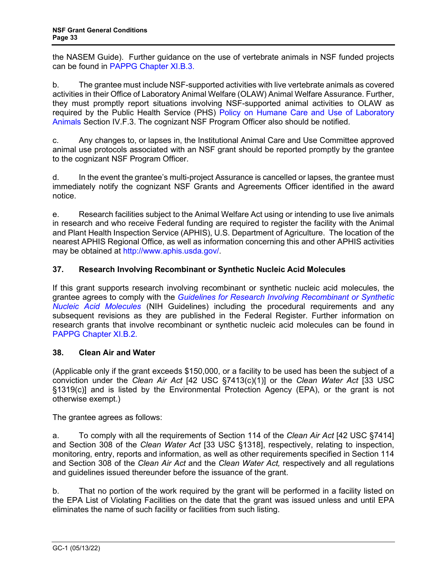the NASEM Guide). Further guidance on the use of vertebrate animals in NSF funded projects can be found in [PAPPG Chapter XI.B.3.](https://www.nsf.gov/pubs/policydocs/pappg22_1/pappg_11.jsp#XIB3)

b. The grantee must include NSF-supported activities with live vertebrate animals as covered activities in their Office of Laboratory Animal Welfare (OLAW) Animal Welfare Assurance. Further, they must promptly report situations involving NSF-supported animal activities to OLAW as required by the Public Health Service (PHS) [Policy on Humane Care and Use of Laboratory](http://grants.nih.gov/grants/olaw/references/phspol.htm)  [Animals](http://grants.nih.gov/grants/olaw/references/phspol.htm) Section IV.F.3. The cognizant NSF Program Officer also should be notified.

c. Any changes to, or lapses in, the Institutional Animal Care and Use Committee approved animal use protocols associated with an NSF grant should be reported promptly by the grantee to the cognizant NSF Program Officer.

d. In the event the grantee's multi-project Assurance is cancelled or lapses, the grantee must immediately notify the cognizant NSF Grants and Agreements Officer identified in the award notice.

e. Research facilities subject to the Animal Welfare Act using or intending to use live animals in research and who receive Federal funding are required to register the facility with the Animal and Plant Health Inspection Service (APHIS), U.S. Department of Agriculture. The location of the nearest APHIS Regional Office, as well as information concerning this and other APHIS activities may be obtained at [http://www.aphis.usda.gov/.](http://www.aphis.usda.gov/)

# <span id="page-32-0"></span>**37. Research Involving Recombinant or Synthetic Nucleic Acid Molecules**

If this grant supports research involving recombinant or synthetic nucleic acid molecules, the grantee agrees to comply with the *[Guidelines for Research Involving Recombinant](http://osp.od.nih.gov/office-biotechnology-activities/biosafety/nih-guidelines) or Synthetic [Nucleic Acid Molecules](http://osp.od.nih.gov/office-biotechnology-activities/biosafety/nih-guidelines)* (NIH Guidelines) including the procedural requirements and any subsequent revisions as they are published in the Federal Register. Further information on research grants that involve recombinant or synthetic nucleic acid molecules can be found in [PAPPG Chapter XI.B.2.](https://www.nsf.gov/pubs/policydocs/pappg22_1/pappg_11.jsp#XIB2)

## <span id="page-32-1"></span>**38. Clean Air and Water**

(Applicable only if the grant exceeds \$150,000, or a facility to be used has been the subject of a conviction under the *Clean Air Act* [\[42 USC §7413\(c\)\(1\)\]](http://frwebgate.access.gpo.gov/cgi-bin/getdoc.cgi?dbname=browse_usc&docid=Cite:+42USC7413) or the *Clean Water Act* [\[33 USC](http://frwebgate.access.gpo.gov/cgi-bin/getdoc.cgi?dbname=browse_usc&docid=Cite:+33USC1319)  [§1319\(c\)](http://frwebgate.access.gpo.gov/cgi-bin/getdoc.cgi?dbname=browse_usc&docid=Cite:+33USC1319)] and is listed by the Environmental Protection Agency (EPA), or the grant is not otherwise exempt.)

The grantee agrees as follows:

a. To comply with all the requirements of Section 114 of the *Clean Air Act* [\[42 USC §7414\]](http://frwebgate.access.gpo.gov/cgi-bin/getdoc.cgi?dbname=browse_usc&docid=Cite:+42USC7414) and Section 308 of the *Clean Water Act* [\[33 USC §1318\]](http://frwebgate.access.gpo.gov/cgi-bin/getdoc.cgi?dbname=browse_usc&docid=Cite:+33USC1318), respectively, relating to inspection, monitoring, entry, reports and information, as well as other requirements specified in Section 114 and Section 308 of the *Clean Air Act* and the *Clean Water Act,* respectively and all regulations and guidelines issued thereunder before the issuance of the grant.

b. That no portion of the work required by the grant will be performed in a facility listed on the EPA List of Violating Facilities on the date that the grant was issued unless and until EPA eliminates the name of such facility or facilities from such listing.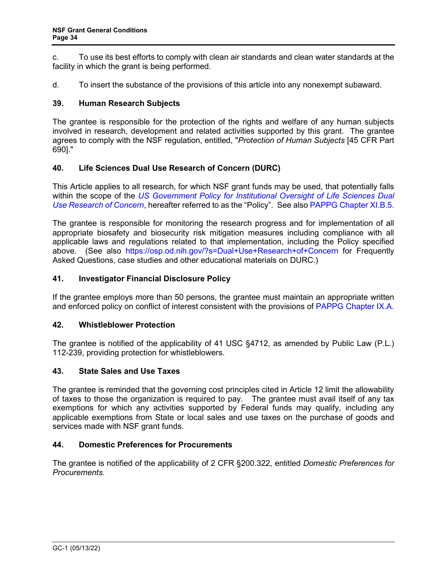<span id="page-33-3"></span>c. To use its best efforts to comply with clean air standards and clean water standards at the facility in which the grant is being performed.

<span id="page-33-0"></span>d. To insert the substance of the provisions of this article into any nonexempt subaward.

#### **39. Human Research Subjects**

The grantee is responsible for the protection of the rights and welfare of any human subjects involved in research, development and related activities supported by this grant. The grantee agrees to comply with the NSF regulation, entitled, "*Protection of Human Subjects* [\[45 CFR Part](http://www.access.gpo.gov/nara/cfr/waisidx_06/45cfr690_06.html)  [690\].](http://www.access.gpo.gov/nara/cfr/waisidx_06/45cfr690_06.html)"

## **40. Life Sciences Dual Use Research of Concern (DURC)**

This Article applies to all research, for which NSF grant funds may be used, that potentially falls within the scope of the *[US Government Policy for Institutional Oversight of Life Sciences Dual](http://www.phe.gov/s3/dualuse/Pages/default.aspx)  [Use Research of Concern](http://www.phe.gov/s3/dualuse/Pages/default.aspx)*, hereafter referred to as the "Policy". See also [PAPPG Chapter XI.B.5.](https://www.nsf.gov/pubs/policydocs/pappg22_1/pappg_11.jsp#XIB5)

The grantee is responsible for monitoring the research progress and for implementation of all appropriate biosafety and biosecurity risk mitigation measures including compliance with all applicable laws and regulations related to that implementation, including the Policy specified above. (See also <https://osp.od.nih.gov/?s=Dual+Use+Research+of+Concern> for Frequently Asked Questions, case studies and other educational materials on DURC.)

#### <span id="page-33-1"></span>**41. Investigator Financial Disclosure Policy**

If the grantee employs more than 50 persons, the grantee must maintain an appropriate written and enforced policy on conflict of interest consistent with the provisions of [PAPPG Chapter IX.A.](https://www.nsf.gov/pubs/policydocs/pappg22_1/pappg_9.jsp#IXA)

#### **42. Whistleblower Protection**

The grantee is notified of the applicability of 41 USC §4712, as amended by Public Law (P.L.) 112-239, providing protection for whistleblowers.

#### <span id="page-33-2"></span>**43. State Sales and Use Taxes**

The grantee is reminded that the governing cost principles cited in [Article 12](#page-11-3) limit the allowability of taxes to those the organization is required to pay. The grantee must avail itself of any tax exemptions for which any activities supported by Federal funds may qualify, including any applicable exemptions from State or local sales and use taxes on the purchase of goods and services made with NSF grant funds.

## **44. Domestic Preferences for Procurements**

The grantee is notified of the applicability of 2 CFR §200.322, entitled *Domestic Preferences for Procurements*.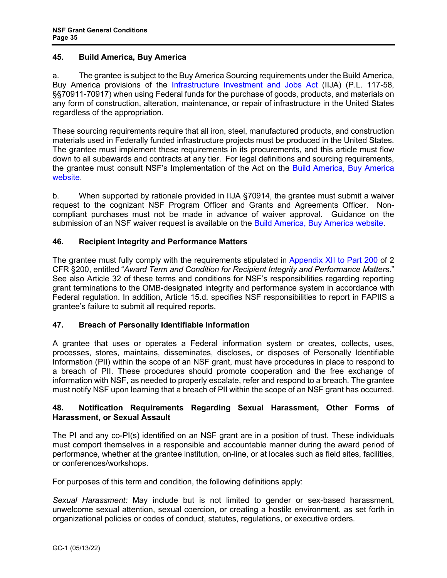#### <span id="page-34-1"></span>**45. Build America, Buy America**

a. The grantee is subject to the Buy America Sourcing requirements under the Build America, Buy America provisions of the [Infrastructure Investment and Jobs Act](https://www.congress.gov/bill/117th-congress/house-bill/3684/text) (IIJA) (P.L. 117-58, §§70911-70917) when using Federal funds for the purchase of goods, products, and materials on any form of construction, alteration, maintenance, or repair of infrastructure in the United States regardless of the appropriation.

These sourcing requirements require that all iron, steel, manufactured products, and construction materials used in Federally funded infrastructure projects must be produced in the United States. The grantee must implement these requirements in its procurements, and this article must flow down to all subawards and contracts at any tier. For legal definitions and sourcing requirements, the grantee must consult NSF's Implementation of the Act on the [Build America, Buy America](https://beta.nsf.gov/funding/build-america-buy-america)  [website.](https://beta.nsf.gov/funding/build-america-buy-america)

b. When supported by rationale provided in IIJA §70914, the grantee must submit a waiver request to the cognizant NSF Program Officer and Grants and Agreements Officer. Noncompliant purchases must not be made in advance of waiver approval. Guidance on the submission of an NSF waiver request is available on the [Build America, Buy America website.](https://beta.nsf.gov/funding/build-america-buy-america)

## **46. Recipient Integrity and Performance Matters**

The grantee must fully comply with the requirements stipulated in [Appendix XII to Part 200](http://www.ecfr.gov/cgi-bin/text-idx?SID=704835d27377ef5213a51c149de40cab&node=2:1.1.2.2.1&rgn=div5) of 2 CFR §200, entitled "*Award Term and Condition for Recipient Integrity and Performance Matters*." See also Article 32 of these terms and conditions for NSF's responsibilities regarding reporting grant terminations to the OMB-designated integrity and performance system in accordance with Federal regulation. In addition, Article 15.d. specifies NSF responsibilities to report in FAPIIS a grantee's failure to submit all required reports.

# <span id="page-34-0"></span>**47. Breach of Personally Identifiable Information**

A grantee that uses or operates a Federal information system or creates, collects, uses, processes, stores, maintains, disseminates, discloses, or disposes of Personally Identifiable Information (PII) within the scope of an NSF grant, must have procedures in place to respond to a breach of PII. These procedures should promote cooperation and the free exchange of information with NSF, as needed to properly escalate, refer and respond to a breach. The grantee must notify NSF upon learning that a breach of PII within the scope of an NSF grant has occurred.

## **48. Notification Requirements Regarding Sexual Harassment, Other Forms of Harassment, or Sexual Assault**

The PI and any co-PI(s) identified on an NSF grant are in a position of trust. These individuals must comport themselves in a responsible and accountable manner during the award period of performance, whether at the grantee institution, on-line, or at locales such as field sites, facilities, or conferences/workshops.

For purposes of this term and condition, the following definitions apply:

*Sexual Harassment:* May include but is not limited to gender or sex-based harassment, unwelcome sexual attention, sexual coercion, or creating a hostile environment, as set forth in organizational policies or codes of conduct, statutes, regulations, or executive orders.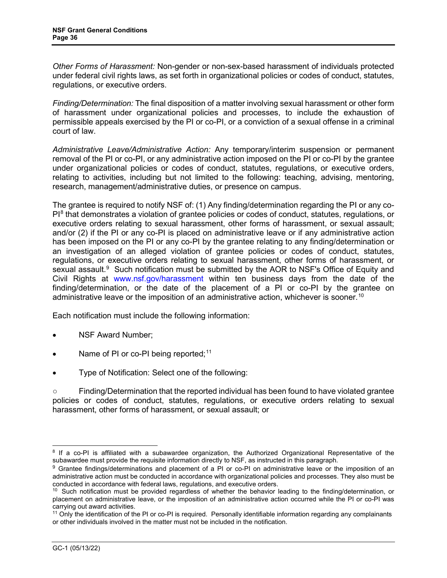*Other Forms of Harassment:* Non-gender or non-sex-based harassment of individuals protected under federal civil rights laws, as set forth in organizational policies or codes of conduct, statutes, regulations, or executive orders.

*Finding/Determination:* The final disposition of a matter involving sexual harassment or other form of harassment under organizational policies and processes, to include the exhaustion of permissible appeals exercised by the PI or co-PI, or a conviction of a sexual offense in a criminal court of law.

*Administrative Leave/Administrative Action:* Any temporary/interim suspension or permanent removal of the PI or co-PI, or any administrative action imposed on the PI or co-PI by the grantee under organizational policies or codes of conduct, statutes, regulations, or executive orders, relating to activities, including but not limited to the following: teaching, advising, mentoring, research, management/administrative duties, or presence on campus.

The grantee is required to notify NSF of: (1) Any finding/determination regarding the PI or any co- $PI<sup>8</sup>$  $PI<sup>8</sup>$  $PI<sup>8</sup>$  that demonstrates a violation of grantee policies or codes of conduct, statutes, regulations, or executive orders relating to sexual harassment, other forms of harassment, or sexual assault; and/or (2) if the PI or any co-PI is placed on administrative leave or if any administrative action has been imposed on the PI or any co-PI by the grantee relating to any finding/determination or an investigation of an alleged violation of grantee policies or codes of conduct, statutes, regulations, or executive orders relating to sexual harassment, other forms of harassment, or sexual assault.<sup>[9](#page-35-1)</sup> Such notification must be submitted by the AOR to NSF's Office of Equity and Civil Rights at [www.nsf.gov/harassment](http://www.nsf.gov/harassment) within ten business days from the date of the finding/determination, or the date of the placement of a PI or co-PI by the grantee on administrative leave or the imposition of an administrative action, whichever is sooner.<sup>[10](#page-35-2)</sup>

Each notification must include the following information:

- NSF Award Number;
- Name of PI or co-PI being reported;<sup>[11](#page-35-3)</sup>
- Type of Notification: Select one of the following:

○ Finding/Determination that the reported individual has been found to have violated grantee policies or codes of conduct, statutes, regulations, or executive orders relating to sexual harassment, other forms of harassment, or sexual assault; or

<span id="page-35-0"></span><sup>&</sup>lt;sup>8</sup> If a co-PI is affiliated with a subawardee organization, the Authorized Organizational Representative of the subawardee must provide the requisite information directly to NSF, as instructed in this paragraph.

<span id="page-35-1"></span><sup>9</sup> Grantee findings/determinations and placement of a PI or co-PI on administrative leave or the imposition of an administrative action must be conducted in accordance with organizational policies and processes. They also must be conducted in accordance with federal laws, regulations, and executive orders.

<span id="page-35-2"></span><sup>&</sup>lt;sup>10</sup> Such notification must be provided regardless of whether the behavior leading to the finding/determination, or placement on administrative leave, or the imposition of an administrative action occurred while the PI or co-PI was carrying out award activities.

<span id="page-35-3"></span><sup>&</sup>lt;sup>11</sup> Only the identification of the PI or co-PI is required. Personally identifiable information regarding any complainants or other individuals involved in the matter must not be included in the notification.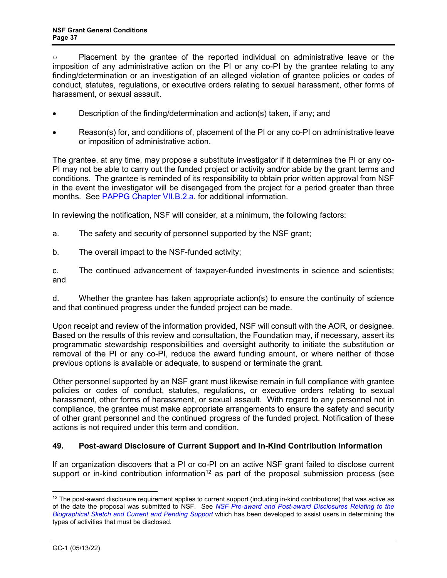<span id="page-36-0"></span>○ Placement by the grantee of the reported individual on administrative leave or the imposition of any administrative action on the PI or any co-PI by the grantee relating to any finding/determination or an investigation of an alleged violation of grantee policies or codes of conduct, statutes, regulations, or executive orders relating to sexual harassment, other forms of harassment, or sexual assault.

- Description of the finding/determination and action(s) taken, if any; and
- Reason(s) for, and conditions of, placement of the PI or any co-PI on administrative leave or imposition of administrative action.

The grantee, at any time, may propose a substitute investigator if it determines the PI or any co-PI may not be able to carry out the funded project or activity and/or abide by the grant terms and conditions. The grantee is reminded of its responsibility to obtain prior written approval from NSF in the event the investigator will be disengaged from the project for a period greater than three months. See [PAPPG Chapter VII.B.2.a.](https://www.nsf.gov/pubs/policydocs/pappg22_1/pappg_7.jsp#VIIB2a) for additional information.

In reviewing the notification, NSF will consider, at a minimum, the following factors:

- a. The safety and security of personnel supported by the NSF grant;
- b. The overall impact to the NSF-funded activity;

c. The continued advancement of taxpayer-funded investments in science and scientists; and

d. Whether the grantee has taken appropriate action(s) to ensure the continuity of science and that continued progress under the funded project can be made.

Upon receipt and review of the information provided, NSF will consult with the AOR, or designee. Based on the results of this review and consultation, the Foundation may, if necessary, assert its programmatic stewardship responsibilities and oversight authority to initiate the substitution or removal of the PI or any co-PI, reduce the award funding amount, or where neither of those previous options is available or adequate, to suspend or terminate the grant.

Other personnel supported by an NSF grant must likewise remain in full compliance with grantee policies or codes of conduct, statutes, regulations, or executive orders relating to sexual harassment, other forms of harassment, or sexual assault. With regard to any personnel not in compliance, the grantee must make appropriate arrangements to ensure the safety and security of other grant personnel and the continued progress of the funded project. Notification of these actions is not required under this term and condition.

## **49. Post-award Disclosure of Current Support and In-Kind Contribution Information**

If an organization discovers that a PI or co-PI on an active NSF grant failed to disclose current support or in-kind contribution information<sup>[12](#page-36-1)</sup> as part of the proposal submission process (see

<span id="page-36-1"></span> $12$  The post-award disclosure requirement applies to current support (including in-kind contributions) that was active as of the date the proposal was submitted to NSF. See *[NSF Pre-award and Post-award Disclosures Relating to the](https://www.nsf.gov/bfa/dias/policy/disclosures_table.jsp)  [Biographical Sketch and Current and Pending Support](https://www.nsf.gov/bfa/dias/policy/disclosures_table.jsp)* which has been developed to assist users in determining the types of activities that must be disclosed.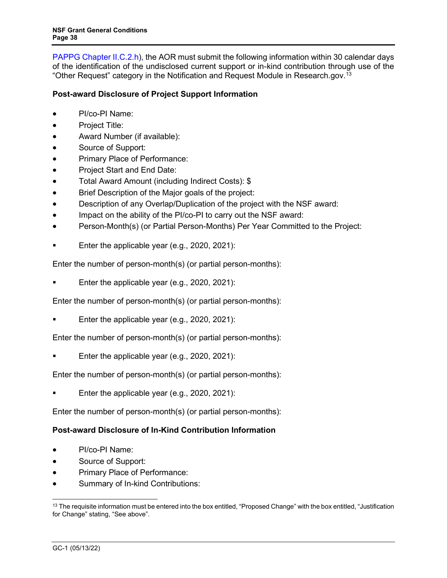[PAPPG Chapter II.C.2.h\)](https://www.nsf.gov/pubs/policydocs/pappg22_1/pappg_2.jsp#IIC2h), the AOR must submit the following information within 30 calendar days of the identification of the undisclosed current support or in-kind contribution through use of the "Other Request" category in the Notification and Request Module in Research.gov.<sup>13</sup>

# **Post-award Disclosure of Project Support Information**

- PI/co-PI Name:
- Project Title:
- Award Number (if available):
- Source of Support:
- Primary Place of Performance:
- Project Start and End Date:
- Total Award Amount (including Indirect Costs): \$
- Brief Description of the Major goals of the project:
- Description of any Overlap/Duplication of the project with the NSF award:
- Impact on the ability of the PI/co-PI to carry out the NSF award:
- Person-Month(s) (or Partial Person-Months) Per Year Committed to the Project:
- Enter the applicable year (e.g., 2020, 2021):

Enter the number of person-month(s) (or partial person-months):

Enter the applicable year (e.g., 2020, 2021):

Enter the number of person-month(s) (or partial person-months):

Enter the applicable year (e.g., 2020, 2021):

Enter the number of person-month(s) (or partial person-months):

Enter the applicable year (e.g., 2020, 2021):

Enter the number of person-month(s) (or partial person-months):

Enter the applicable year (e.g., 2020, 2021):

Enter the number of person-month(s) (or partial person-months):

# **Post-award Disclosure of In-Kind Contribution Information**

- PI/co-PI Name:
- Source of Support:
- Primary Place of Performance:
- Summary of In-kind Contributions:

<span id="page-37-0"></span><sup>&</sup>lt;sup>13</sup> The requisite information must be entered into the box entitled, "Proposed Change" with the box entitled, "Justification for Change" stating, "See above".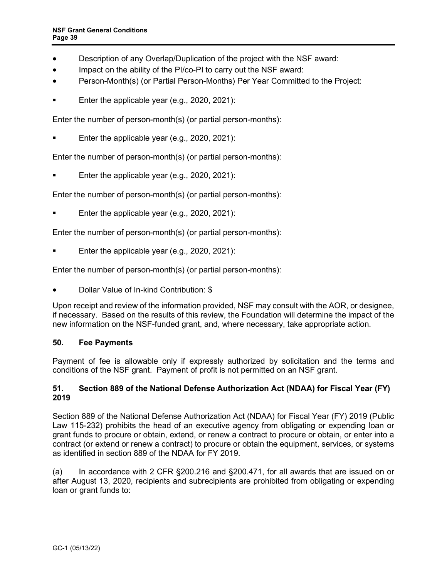- <span id="page-38-0"></span>• Description of any Overlap/Duplication of the project with the NSF award:
- Impact on the ability of the PI/co-PI to carry out the NSF award:
- Person-Month(s) (or Partial Person-Months) Per Year Committed to the Project:
- Enter the applicable year (e.g., 2020, 2021):

Enter the number of person-month(s) (or partial person-months):

Enter the applicable year (e.g., 2020, 2021):

Enter the number of person-month(s) (or partial person-months):

Enter the applicable year (e.g., 2020, 2021):

Enter the number of person-month(s) (or partial person-months):

Enter the applicable year (e.g., 2020, 2021):

Enter the number of person-month(s) (or partial person-months):

Enter the applicable year (e.g., 2020, 2021):

Enter the number of person-month(s) (or partial person-months):

• Dollar Value of In-kind Contribution: \$

Upon receipt and review of the information provided, NSF may consult with the AOR, or designee, if necessary. Based on the results of this review, the Foundation will determine the impact of the new information on the NSF-funded grant, and, where necessary, take appropriate action.

## **50. Fee Payments**

Payment of fee is allowable only if expressly authorized by solicitation and the terms and conditions of the NSF grant. Payment of profit is not permitted on an NSF grant.

#### **51. Section 889 of the National Defense Authorization Act (NDAA) for Fiscal Year (FY) 2019**

Section 889 of the National Defense Authorization Act (NDAA) for Fiscal Year (FY) 2019 (Public Law 115-232) prohibits the head of an executive agency from obligating or expending loan or grant funds to procure or obtain, extend, or renew a contract to procure or obtain, or enter into a contract (or extend or renew a contract) to procure or obtain the equipment, services, or systems as identified in section 889 of the NDAA for FY 2019.

(a) In accordance with 2 CFR §200.216 and §200.471, for all awards that are issued on or after August 13, 2020, recipients and subrecipients are prohibited from obligating or expending loan or grant funds to: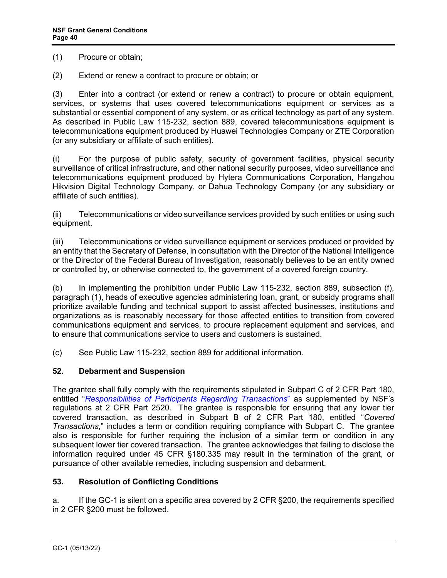(1) Procure or obtain;

(2) Extend or renew a contract to procure or obtain; or

(3) Enter into a contract (or extend or renew a contract) to procure or obtain equipment, services, or systems that uses covered telecommunications equipment or services as a substantial or essential component of any system, or as critical technology as part of any system. As described in Public Law 115-232, section 889, covered telecommunications equipment is telecommunications equipment produced by Huawei Technologies Company or ZTE Corporation (or any subsidiary or affiliate of such entities).

(i) For the purpose of public safety, security of government facilities, physical security surveillance of critical infrastructure, and other national security purposes, video surveillance and telecommunications equipment produced by Hytera Communications Corporation, Hangzhou Hikvision Digital Technology Company, or Dahua Technology Company (or any subsidiary or affiliate of such entities).

(ii) Telecommunications or video surveillance services provided by such entities or using such equipment.

(iii) Telecommunications or video surveillance equipment or services produced or provided by an entity that the Secretary of Defense, in consultation with the Director of the National Intelligence or the Director of the Federal Bureau of Investigation, reasonably believes to be an entity owned or controlled by, or otherwise connected to, the government of a covered foreign country.

(b) In implementing the prohibition under Public Law 115-232, section 889, subsection (f), paragraph (1), heads of executive agencies administering loan, grant, or subsidy programs shall prioritize available funding and technical support to assist affected businesses, institutions and organizations as is reasonably necessary for those affected entities to transition from covered communications equipment and services, to procure replacement equipment and services, and to ensure that communications service to users and customers is sustained.

(c) See Public Law 115-232, section 889 for additional information.

## **52. Debarment and Suspension**

The grantee shall fully comply with the requirements stipulated in [Subpart C of 2 CFR Part 180,](http://www.whitehouse.gov/omb/fedreg/2005/083105_debarment.pdf) entitled "*[Responsibilities of Participants Regarding Transactions](http://www.gpo.gov/fdsys/pkg/CFR-2011-title2-vol1/pdf/CFR-2011-title2-vol1-part2520.pdf)*" as supplemented by NSF's regulations at 2 CFR Part 2520. The grantee is responsible for ensuring that any lower tier covered transaction, as described in [Subpart B of 2 CFR Part 180,](http://www.whitehouse.gov/omb/fedreg/2005/083105_debarment.pdf) entitled "*Covered Transactions*," includes a term or condition requiring compliance with Subpart C. The grantee also is responsible for further requiring the inclusion of a similar term or condition in any subsequent lower tier covered transaction. The grantee acknowledges that failing to disclose the information required under [45 CFR §180.335](http://www.nsf.gov/oig/2_CFR_PART180.pdf) may result in the termination of the grant, or pursuance of other available remedies, including suspension and debarment.

## <span id="page-39-0"></span>**53. Resolution of Conflicting Conditions**

a. If the GC-1 is silent on a specific area covered by 2 CFR §200, the requirements specified in 2 CFR §200 must be followed.